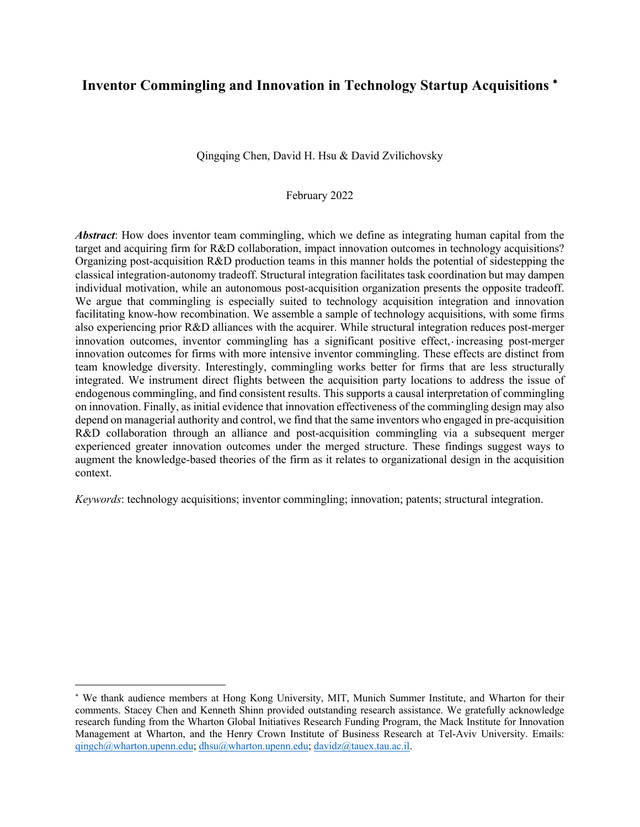# **Inventor Commingling and Innovation in Technology Startup Acquisitions** \*

Qingqing Chen, David H. Hsu & David Zvilichovsky

## February 2022

*Abstract*: How does inventor team commingling, which we define as integrating human capital from the target and acquiring firm for R&D collaboration, impact innovation outcomes in technology acquisitions? Organizing post-acquisition R&D production teams in this manner holds the potential of sidestepping the classical integration-autonomy tradeoff. Structural integration facilitates task coordination but may dampen individual motivation, while an autonomous post-acquisition organization presents the opposite tradeoff. We argue that commingling is especially suited to technology acquisition integration and innovation facilitating know-how recombination. We assemble a sample of technology acquisitions, with some firms also experiencing prior R&D alliances with the acquirer. While structural integration reduces post-merger innovation outcomes, inventor commingling has a significant positive effect, increasing post-merger innovation outcomes for firms with more intensive inventor commingling. These effects are distinct from team knowledge diversity. Interestingly, commingling works better for firms that are less structurally integrated. We instrument direct flights between the acquisition party locations to address the issue of endogenous commingling, and find consistent results. This supports a causal interpretation of commingling on innovation. Finally, as initial evidence that innovation effectiveness of the commingling design may also depend on managerial authority and control, we find that the same inventors who engaged in pre-acquisition R&D collaboration through an alliance and post-acquisition commingling via a subsequent merger experienced greater innovation outcomes under the merged structure. These findings suggest ways to augment the knowledge-based theories of the firm as it relates to organizational design in the acquisition context.

*Keywords*: technology acquisitions; inventor commingling; innovation; patents; structural integration.

<sup>\*</sup> We thank audience members at Hong Kong University, MIT, Munich Summer Institute, and Wharton for their comments. Stacey Chen and Kenneth Shinn provided outstanding research assistance. We gratefully acknowledge research funding from the Wharton Global Initiatives Research Funding Program, the Mack Institute for Innovation Management at Wharton, and the Henry Crown Institute of Business Research at Tel-Aviv University. Emails: qingch@wharton.upenn.edu; dhsu@wharton.upenn.edu; davidz@tauex.tau.ac.il.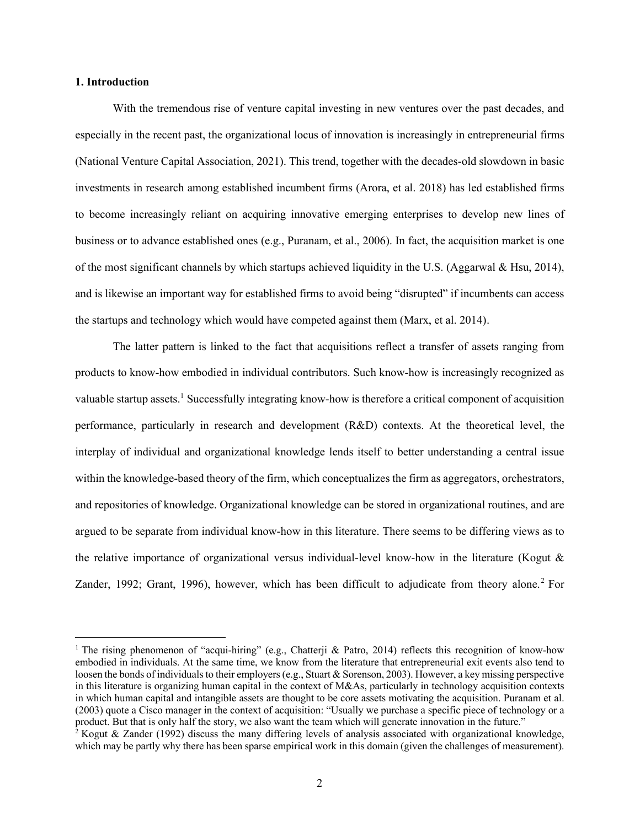## **1. Introduction**

With the tremendous rise of venture capital investing in new ventures over the past decades, and especially in the recent past, the organizational locus of innovation is increasingly in entrepreneurial firms (National Venture Capital Association, 2021). This trend, together with the decades-old slowdown in basic investments in research among established incumbent firms (Arora, et al. 2018) has led established firms to become increasingly reliant on acquiring innovative emerging enterprises to develop new lines of business or to advance established ones (e.g., Puranam, et al., 2006). In fact, the acquisition market is one of the most significant channels by which startups achieved liquidity in the U.S. (Aggarwal & Hsu, 2014), and is likewise an important way for established firms to avoid being "disrupted" if incumbents can access the startups and technology which would have competed against them (Marx, et al. 2014).

The latter pattern is linked to the fact that acquisitions reflect a transfer of assets ranging from products to know-how embodied in individual contributors. Such know-how is increasingly recognized as valuable startup assets.<sup>1</sup> Successfully integrating know-how is therefore a critical component of acquisition performance, particularly in research and development (R&D) contexts. At the theoretical level, the interplay of individual and organizational knowledge lends itself to better understanding a central issue within the knowledge-based theory of the firm, which conceptualizes the firm as aggregators, orchestrators, and repositories of knowledge. Organizational knowledge can be stored in organizational routines, and are argued to be separate from individual know-how in this literature. There seems to be differing views as to the relative importance of organizational versus individual-level know-how in the literature (Kogut & Zander, 1992; Grant, 1996), however, which has been difficult to adjudicate from theory alone.<sup>2</sup> For

<sup>&</sup>lt;sup>1</sup> The rising phenomenon of "acqui-hiring" (e.g., Chatterji & Patro, 2014) reflects this recognition of know-how embodied in individuals. At the same time, we know from the literature that entrepreneurial exit events also tend to loosen the bonds of individuals to their employers (e.g., Stuart & Sorenson, 2003). However, a key missing perspective in this literature is organizing human capital in the context of M&As, particularly in technology acquisition contexts in which human capital and intangible assets are thought to be core assets motivating the acquisition. Puranam et al. (2003) quote a Cisco manager in the context of acquisition: "Usually we purchase a specific piece of technology or a product. But that is only half the story, we also want the team which will generate innovation in the future."

<sup>&</sup>lt;sup>2</sup> Kogut & Zander (1992) discuss the many differing levels of analysis associated with organizational knowledge, which may be partly why there has been sparse empirical work in this domain (given the challenges of measurement).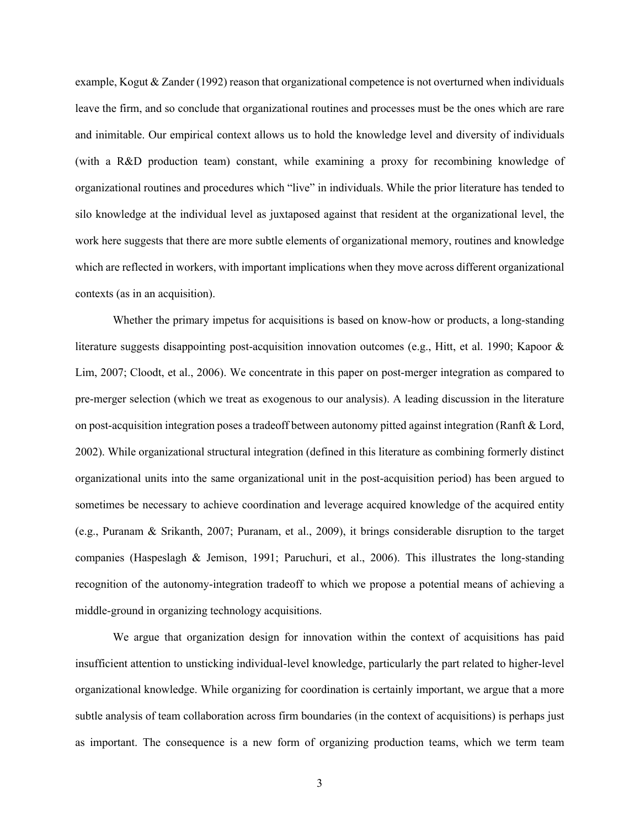example, Kogut & Zander (1992) reason that organizational competence is not overturned when individuals leave the firm, and so conclude that organizational routines and processes must be the ones which are rare and inimitable. Our empirical context allows us to hold the knowledge level and diversity of individuals (with a R&D production team) constant, while examining a proxy for recombining knowledge of organizational routines and procedures which "live" in individuals. While the prior literature has tended to silo knowledge at the individual level as juxtaposed against that resident at the organizational level, the work here suggests that there are more subtle elements of organizational memory, routines and knowledge which are reflected in workers, with important implications when they move across different organizational contexts (as in an acquisition).

Whether the primary impetus for acquisitions is based on know-how or products, a long-standing literature suggests disappointing post-acquisition innovation outcomes (e.g., Hitt, et al. 1990; Kapoor & Lim, 2007; Cloodt, et al., 2006). We concentrate in this paper on post-merger integration as compared to pre-merger selection (which we treat as exogenous to our analysis). A leading discussion in the literature on post-acquisition integration poses a tradeoff between autonomy pitted against integration (Ranft & Lord, 2002). While organizational structural integration (defined in this literature as combining formerly distinct organizational units into the same organizational unit in the post-acquisition period) has been argued to sometimes be necessary to achieve coordination and leverage acquired knowledge of the acquired entity (e.g., Puranam & Srikanth, 2007; Puranam, et al., 2009), it brings considerable disruption to the target companies (Haspeslagh & Jemison, 1991; Paruchuri, et al., 2006). This illustrates the long-standing recognition of the autonomy-integration tradeoff to which we propose a potential means of achieving a middle-ground in organizing technology acquisitions.

We argue that organization design for innovation within the context of acquisitions has paid insufficient attention to unsticking individual-level knowledge, particularly the part related to higher-level organizational knowledge. While organizing for coordination is certainly important, we argue that a more subtle analysis of team collaboration across firm boundaries (in the context of acquisitions) is perhaps just as important. The consequence is a new form of organizing production teams, which we term team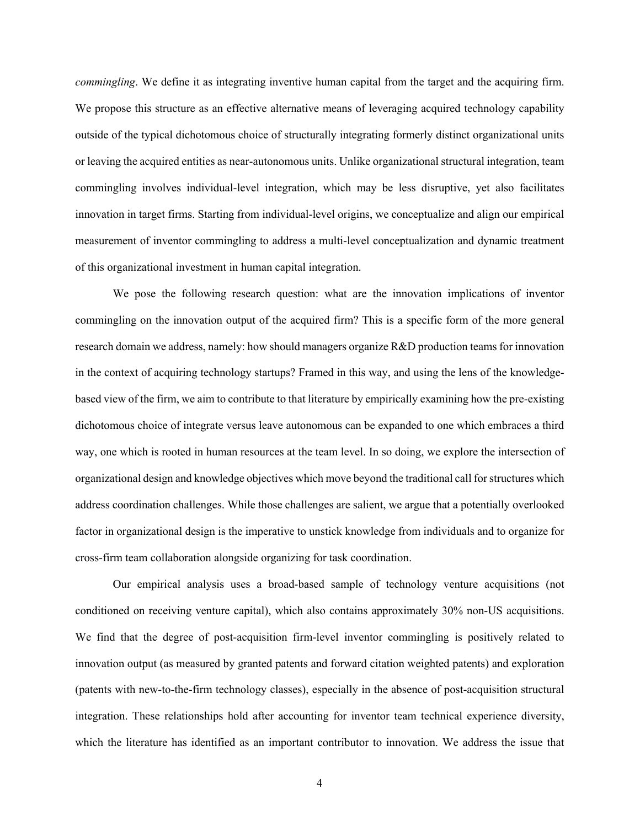*commingling*. We define it as integrating inventive human capital from the target and the acquiring firm. We propose this structure as an effective alternative means of leveraging acquired technology capability outside of the typical dichotomous choice of structurally integrating formerly distinct organizational units or leaving the acquired entities as near-autonomous units. Unlike organizational structural integration, team commingling involves individual-level integration, which may be less disruptive, yet also facilitates innovation in target firms. Starting from individual-level origins, we conceptualize and align our empirical measurement of inventor commingling to address a multi-level conceptualization and dynamic treatment of this organizational investment in human capital integration.

We pose the following research question: what are the innovation implications of inventor commingling on the innovation output of the acquired firm? This is a specific form of the more general research domain we address, namely: how should managers organize R&D production teams for innovation in the context of acquiring technology startups? Framed in this way, and using the lens of the knowledgebased view of the firm, we aim to contribute to that literature by empirically examining how the pre-existing dichotomous choice of integrate versus leave autonomous can be expanded to one which embraces a third way, one which is rooted in human resources at the team level. In so doing, we explore the intersection of organizational design and knowledge objectives which move beyond the traditional call for structures which address coordination challenges. While those challenges are salient, we argue that a potentially overlooked factor in organizational design is the imperative to unstick knowledge from individuals and to organize for cross-firm team collaboration alongside organizing for task coordination.

Our empirical analysis uses a broad-based sample of technology venture acquisitions (not conditioned on receiving venture capital), which also contains approximately 30% non-US acquisitions. We find that the degree of post-acquisition firm-level inventor commingling is positively related to innovation output (as measured by granted patents and forward citation weighted patents) and exploration (patents with new-to-the-firm technology classes), especially in the absence of post-acquisition structural integration. These relationships hold after accounting for inventor team technical experience diversity, which the literature has identified as an important contributor to innovation. We address the issue that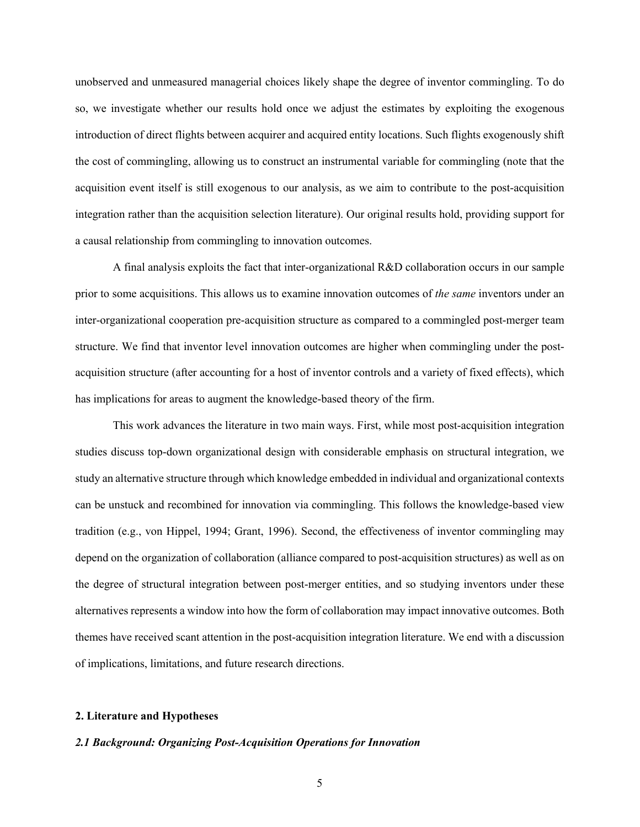unobserved and unmeasured managerial choices likely shape the degree of inventor commingling. To do so, we investigate whether our results hold once we adjust the estimates by exploiting the exogenous introduction of direct flights between acquirer and acquired entity locations. Such flights exogenously shift the cost of commingling, allowing us to construct an instrumental variable for commingling (note that the acquisition event itself is still exogenous to our analysis, as we aim to contribute to the post-acquisition integration rather than the acquisition selection literature). Our original results hold, providing support for a causal relationship from commingling to innovation outcomes.

A final analysis exploits the fact that inter-organizational R&D collaboration occurs in our sample prior to some acquisitions. This allows us to examine innovation outcomes of *the same* inventors under an inter-organizational cooperation pre-acquisition structure as compared to a commingled post-merger team structure. We find that inventor level innovation outcomes are higher when commingling under the postacquisition structure (after accounting for a host of inventor controls and a variety of fixed effects), which has implications for areas to augment the knowledge-based theory of the firm.

This work advances the literature in two main ways. First, while most post-acquisition integration studies discuss top-down organizational design with considerable emphasis on structural integration, we study an alternative structure through which knowledge embedded in individual and organizational contexts can be unstuck and recombined for innovation via commingling. This follows the knowledge-based view tradition (e.g., von Hippel, 1994; Grant, 1996). Second, the effectiveness of inventor commingling may depend on the organization of collaboration (alliance compared to post-acquisition structures) as well as on the degree of structural integration between post-merger entities, and so studying inventors under these alternatives represents a window into how the form of collaboration may impact innovative outcomes. Both themes have received scant attention in the post-acquisition integration literature. We end with a discussion of implications, limitations, and future research directions.

#### **2. Literature and Hypotheses**

## *2.1 Background: Organizing Post-Acquisition Operations for Innovation*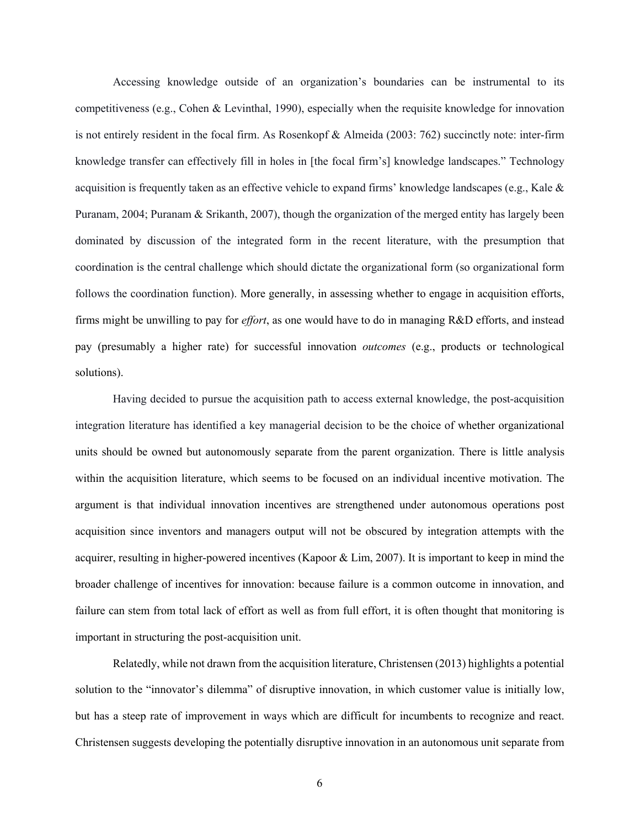Accessing knowledge outside of an organization's boundaries can be instrumental to its competitiveness (e.g., Cohen & Levinthal, 1990), especially when the requisite knowledge for innovation is not entirely resident in the focal firm. As Rosenkopf & Almeida (2003: 762) succinctly note: inter-firm knowledge transfer can effectively fill in holes in [the focal firm's] knowledge landscapes." Technology acquisition is frequently taken as an effective vehicle to expand firms' knowledge landscapes (e.g., Kale & Puranam, 2004; Puranam & Srikanth, 2007), though the organization of the merged entity has largely been dominated by discussion of the integrated form in the recent literature, with the presumption that coordination is the central challenge which should dictate the organizational form (so organizational form follows the coordination function). More generally, in assessing whether to engage in acquisition efforts, firms might be unwilling to pay for *effort*, as one would have to do in managing R&D efforts, and instead pay (presumably a higher rate) for successful innovation *outcomes* (e.g., products or technological solutions).

Having decided to pursue the acquisition path to access external knowledge, the post-acquisition integration literature has identified a key managerial decision to be the choice of whether organizational units should be owned but autonomously separate from the parent organization. There is little analysis within the acquisition literature, which seems to be focused on an individual incentive motivation. The argument is that individual innovation incentives are strengthened under autonomous operations post acquisition since inventors and managers output will not be obscured by integration attempts with the acquirer, resulting in higher-powered incentives (Kapoor & Lim, 2007). It is important to keep in mind the broader challenge of incentives for innovation: because failure is a common outcome in innovation, and failure can stem from total lack of effort as well as from full effort, it is often thought that monitoring is important in structuring the post-acquisition unit.

Relatedly, while not drawn from the acquisition literature, Christensen (2013) highlights a potential solution to the "innovator's dilemma" of disruptive innovation, in which customer value is initially low, but has a steep rate of improvement in ways which are difficult for incumbents to recognize and react. Christensen suggests developing the potentially disruptive innovation in an autonomous unit separate from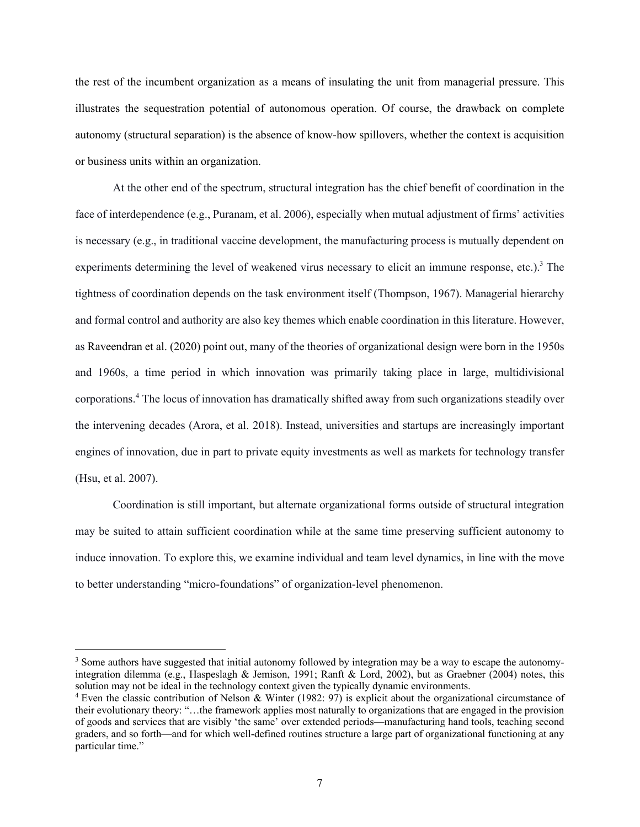the rest of the incumbent organization as a means of insulating the unit from managerial pressure. This illustrates the sequestration potential of autonomous operation. Of course, the drawback on complete autonomy (structural separation) is the absence of know-how spillovers, whether the context is acquisition or business units within an organization.

At the other end of the spectrum, structural integration has the chief benefit of coordination in the face of interdependence (e.g., Puranam, et al. 2006), especially when mutual adjustment of firms' activities is necessary (e.g., in traditional vaccine development, the manufacturing process is mutually dependent on experiments determining the level of weakened virus necessary to elicit an immune response, etc.).<sup>3</sup> The tightness of coordination depends on the task environment itself (Thompson, 1967). Managerial hierarchy and formal control and authority are also key themes which enable coordination in this literature. However, as Raveendran et al. (2020) point out, many of the theories of organizational design were born in the 1950s and 1960s, a time period in which innovation was primarily taking place in large, multidivisional corporations.<sup>4</sup> The locus of innovation has dramatically shifted away from such organizations steadily over the intervening decades (Arora, et al. 2018). Instead, universities and startups are increasingly important engines of innovation, due in part to private equity investments as well as markets for technology transfer (Hsu, et al. 2007).

Coordination is still important, but alternate organizational forms outside of structural integration may be suited to attain sufficient coordination while at the same time preserving sufficient autonomy to induce innovation. To explore this, we examine individual and team level dynamics, in line with the move to better understanding "micro-foundations" of organization-level phenomenon.

<sup>&</sup>lt;sup>3</sup> Some authors have suggested that initial autonomy followed by integration may be a way to escape the autonomyintegration dilemma (e.g., Haspeslagh & Jemison, 1991; Ranft & Lord, 2002), but as Graebner (2004) notes, this solution may not be ideal in the technology context given the typically dynamic environments.

<sup>4</sup> Even the classic contribution of Nelson & Winter (1982: 97) is explicit about the organizational circumstance of their evolutionary theory: "…the framework applies most naturally to organizations that are engaged in the provision of goods and services that are visibly 'the same' over extended periods—manufacturing hand tools, teaching second graders, and so forth—and for which well-defined routines structure a large part of organizational functioning at any particular time."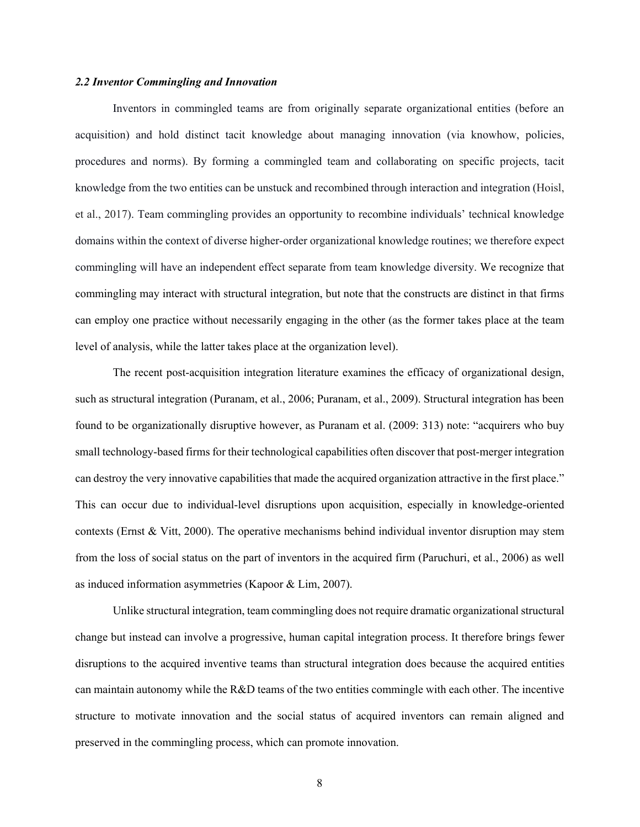## *2.2 Inventor Commingling and Innovation*

Inventors in commingled teams are from originally separate organizational entities (before an acquisition) and hold distinct tacit knowledge about managing innovation (via knowhow, policies, procedures and norms). By forming a commingled team and collaborating on specific projects, tacit knowledge from the two entities can be unstuck and recombined through interaction and integration (Hoisl, et al., 2017). Team commingling provides an opportunity to recombine individuals' technical knowledge domains within the context of diverse higher-order organizational knowledge routines; we therefore expect commingling will have an independent effect separate from team knowledge diversity. We recognize that commingling may interact with structural integration, but note that the constructs are distinct in that firms can employ one practice without necessarily engaging in the other (as the former takes place at the team level of analysis, while the latter takes place at the organization level).

The recent post-acquisition integration literature examines the efficacy of organizational design, such as structural integration (Puranam, et al., 2006; Puranam, et al., 2009). Structural integration has been found to be organizationally disruptive however, as Puranam et al. (2009: 313) note: "acquirers who buy small technology-based firms for their technological capabilities often discover that post-merger integration can destroy the very innovative capabilities that made the acquired organization attractive in the first place." This can occur due to individual-level disruptions upon acquisition, especially in knowledge-oriented contexts (Ernst & Vitt, 2000). The operative mechanisms behind individual inventor disruption may stem from the loss of social status on the part of inventors in the acquired firm (Paruchuri, et al., 2006) as well as induced information asymmetries (Kapoor & Lim, 2007).

Unlike structural integration, team commingling does not require dramatic organizational structural change but instead can involve a progressive, human capital integration process. It therefore brings fewer disruptions to the acquired inventive teams than structural integration does because the acquired entities can maintain autonomy while the R&D teams of the two entities commingle with each other. The incentive structure to motivate innovation and the social status of acquired inventors can remain aligned and preserved in the commingling process, which can promote innovation.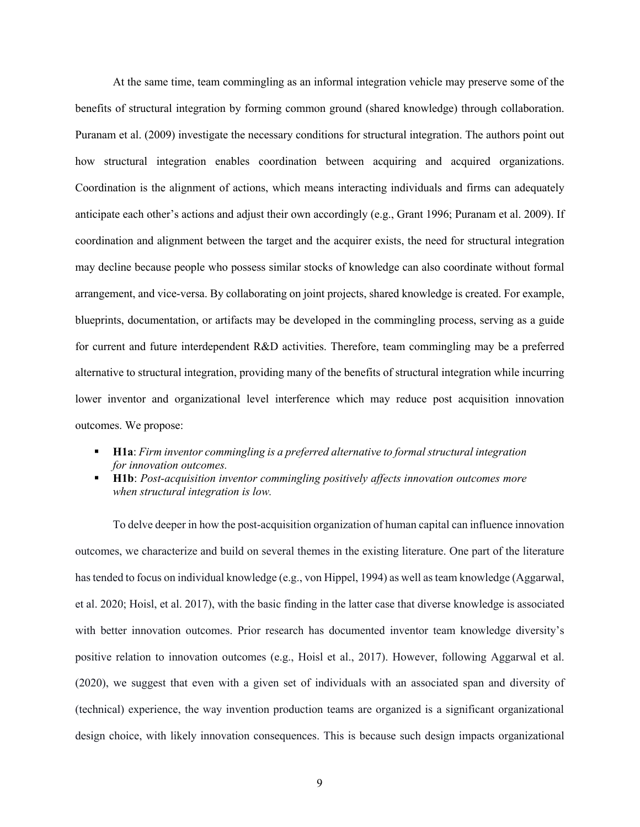At the same time, team commingling as an informal integration vehicle may preserve some of the benefits of structural integration by forming common ground (shared knowledge) through collaboration. Puranam et al. (2009) investigate the necessary conditions for structural integration. The authors point out how structural integration enables coordination between acquiring and acquired organizations. Coordination is the alignment of actions, which means interacting individuals and firms can adequately anticipate each other's actions and adjust their own accordingly (e.g., Grant 1996; Puranam et al. 2009). If coordination and alignment between the target and the acquirer exists, the need for structural integration may decline because people who possess similar stocks of knowledge can also coordinate without formal arrangement, and vice-versa. By collaborating on joint projects, shared knowledge is created. For example, blueprints, documentation, or artifacts may be developed in the commingling process, serving as a guide for current and future interdependent R&D activities. Therefore, team commingling may be a preferred alternative to structural integration, providing many of the benefits of structural integration while incurring lower inventor and organizational level interference which may reduce post acquisition innovation outcomes. We propose:

- § **H1a**: *Firm inventor commingling is a preferred alternative to formal structural integration for innovation outcomes.*
- **H1b**: *Post-acquisition inventor commingling positively affects innovation outcomes more when structural integration is low.*

To delve deeper in how the post-acquisition organization of human capital can influence innovation outcomes, we characterize and build on several themes in the existing literature. One part of the literature has tended to focus on individual knowledge (e.g., von Hippel, 1994) as well as team knowledge (Aggarwal, et al. 2020; Hoisl, et al. 2017), with the basic finding in the latter case that diverse knowledge is associated with better innovation outcomes. Prior research has documented inventor team knowledge diversity's positive relation to innovation outcomes (e.g., Hoisl et al., 2017). However, following Aggarwal et al. (2020), we suggest that even with a given set of individuals with an associated span and diversity of (technical) experience, the way invention production teams are organized is a significant organizational design choice, with likely innovation consequences. This is because such design impacts organizational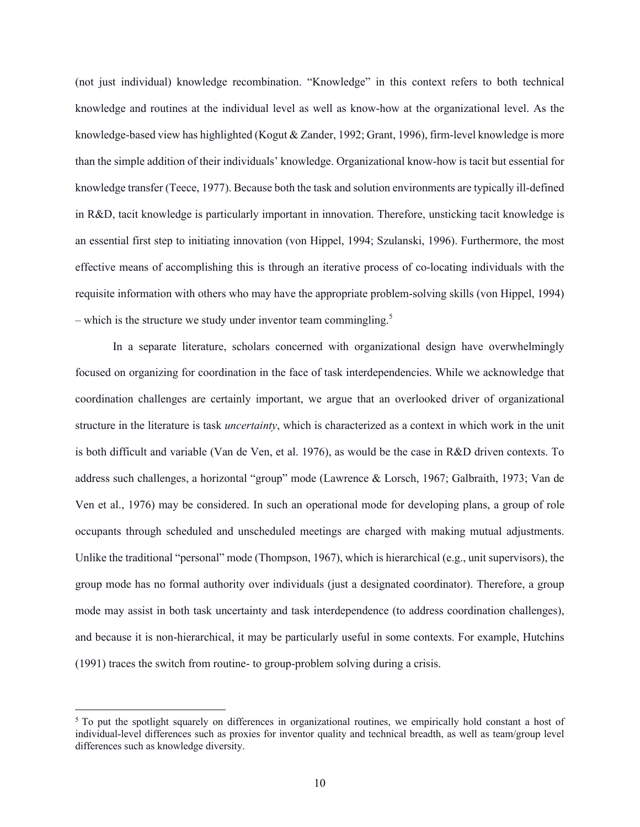(not just individual) knowledge recombination. "Knowledge" in this context refers to both technical knowledge and routines at the individual level as well as know-how at the organizational level. As the knowledge-based view has highlighted (Kogut & Zander, 1992; Grant, 1996), firm-level knowledge is more than the simple addition of their individuals' knowledge. Organizational know-how is tacit but essential for knowledge transfer (Teece, 1977). Because both the task and solution environments are typically ill-defined in R&D, tacit knowledge is particularly important in innovation. Therefore, unsticking tacit knowledge is an essential first step to initiating innovation (von Hippel, 1994; Szulanski, 1996). Furthermore, the most effective means of accomplishing this is through an iterative process of co-locating individuals with the requisite information with others who may have the appropriate problem-solving skills (von Hippel, 1994) – which is the structure we study under inventor team commingling.<sup>5</sup>

In a separate literature, scholars concerned with organizational design have overwhelmingly focused on organizing for coordination in the face of task interdependencies. While we acknowledge that coordination challenges are certainly important, we argue that an overlooked driver of organizational structure in the literature is task *uncertainty*, which is characterized as a context in which work in the unit is both difficult and variable (Van de Ven, et al. 1976), as would be the case in R&D driven contexts. To address such challenges, a horizontal "group" mode (Lawrence & Lorsch, 1967; Galbraith, 1973; Van de Ven et al., 1976) may be considered. In such an operational mode for developing plans, a group of role occupants through scheduled and unscheduled meetings are charged with making mutual adjustments. Unlike the traditional "personal" mode (Thompson, 1967), which is hierarchical (e.g., unit supervisors), the group mode has no formal authority over individuals (just a designated coordinator). Therefore, a group mode may assist in both task uncertainty and task interdependence (to address coordination challenges), and because it is non-hierarchical, it may be particularly useful in some contexts. For example, Hutchins (1991) traces the switch from routine- to group-problem solving during a crisis.

<sup>&</sup>lt;sup>5</sup> To put the spotlight squarely on differences in organizational routines, we empirically hold constant a host of individual-level differences such as proxies for inventor quality and technical breadth, as well as team/group level differences such as knowledge diversity.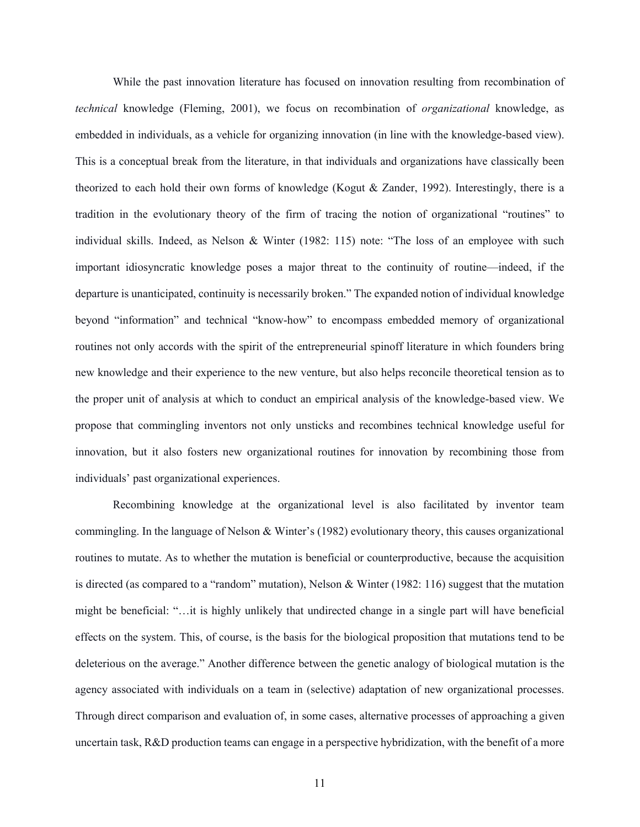While the past innovation literature has focused on innovation resulting from recombination of *technical* knowledge (Fleming, 2001), we focus on recombination of *organizational* knowledge, as embedded in individuals, as a vehicle for organizing innovation (in line with the knowledge-based view). This is a conceptual break from the literature, in that individuals and organizations have classically been theorized to each hold their own forms of knowledge (Kogut & Zander, 1992). Interestingly, there is a tradition in the evolutionary theory of the firm of tracing the notion of organizational "routines" to individual skills. Indeed, as Nelson & Winter (1982: 115) note: "The loss of an employee with such important idiosyncratic knowledge poses a major threat to the continuity of routine—indeed, if the departure is unanticipated, continuity is necessarily broken." The expanded notion of individual knowledge beyond "information" and technical "know-how" to encompass embedded memory of organizational routines not only accords with the spirit of the entrepreneurial spinoff literature in which founders bring new knowledge and their experience to the new venture, but also helps reconcile theoretical tension as to the proper unit of analysis at which to conduct an empirical analysis of the knowledge-based view. We propose that commingling inventors not only unsticks and recombines technical knowledge useful for innovation, but it also fosters new organizational routines for innovation by recombining those from individuals' past organizational experiences.

Recombining knowledge at the organizational level is also facilitated by inventor team commingling. In the language of Nelson & Winter's (1982) evolutionary theory, this causes organizational routines to mutate. As to whether the mutation is beneficial or counterproductive, because the acquisition is directed (as compared to a "random" mutation), Nelson & Winter (1982: 116) suggest that the mutation might be beneficial: "…it is highly unlikely that undirected change in a single part will have beneficial effects on the system. This, of course, is the basis for the biological proposition that mutations tend to be deleterious on the average." Another difference between the genetic analogy of biological mutation is the agency associated with individuals on a team in (selective) adaptation of new organizational processes. Through direct comparison and evaluation of, in some cases, alternative processes of approaching a given uncertain task, R&D production teams can engage in a perspective hybridization, with the benefit of a more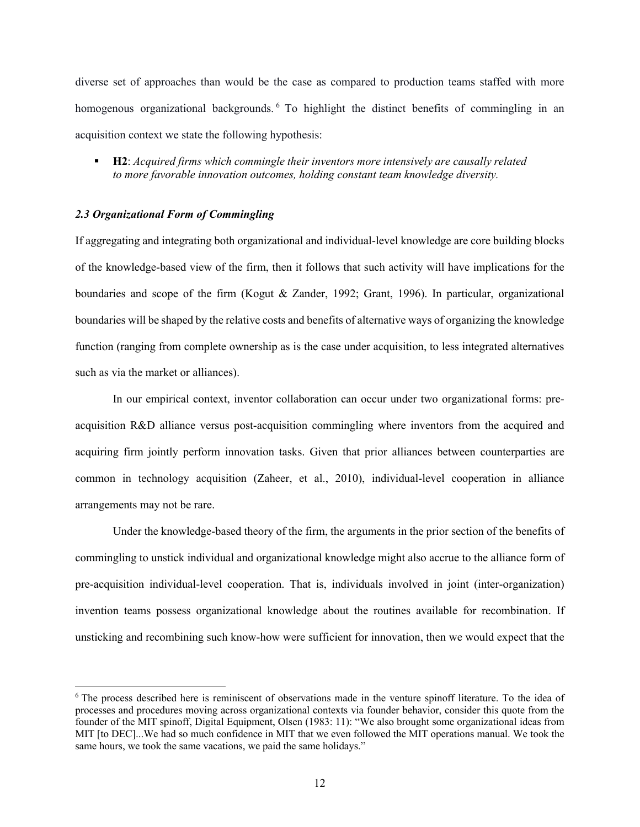diverse set of approaches than would be the case as compared to production teams staffed with more homogenous organizational backgrounds. <sup>6</sup> To highlight the distinct benefits of commingling in an acquisition context we state the following hypothesis:

§ **H2**: *Acquired firms which commingle their inventors more intensively are causally related to more favorable innovation outcomes, holding constant team knowledge diversity.*

## *2.3 Organizational Form of Commingling*

If aggregating and integrating both organizational and individual-level knowledge are core building blocks of the knowledge-based view of the firm, then it follows that such activity will have implications for the boundaries and scope of the firm (Kogut & Zander, 1992; Grant, 1996). In particular, organizational boundaries will be shaped by the relative costs and benefits of alternative ways of organizing the knowledge function (ranging from complete ownership as is the case under acquisition, to less integrated alternatives such as via the market or alliances).

In our empirical context, inventor collaboration can occur under two organizational forms: preacquisition R&D alliance versus post-acquisition commingling where inventors from the acquired and acquiring firm jointly perform innovation tasks. Given that prior alliances between counterparties are common in technology acquisition (Zaheer, et al., 2010), individual-level cooperation in alliance arrangements may not be rare.

Under the knowledge-based theory of the firm, the arguments in the prior section of the benefits of commingling to unstick individual and organizational knowledge might also accrue to the alliance form of pre-acquisition individual-level cooperation. That is, individuals involved in joint (inter-organization) invention teams possess organizational knowledge about the routines available for recombination. If unsticking and recombining such know-how were sufficient for innovation, then we would expect that the

<sup>6</sup> The process described here is reminiscent of observations made in the venture spinoff literature. To the idea of processes and procedures moving across organizational contexts via founder behavior, consider this quote from the founder of the MIT spinoff, Digital Equipment, Olsen (1983: 11): "We also brought some organizational ideas from MIT [to DEC]...We had so much confidence in MIT that we even followed the MIT operations manual. We took the same hours, we took the same vacations, we paid the same holidays."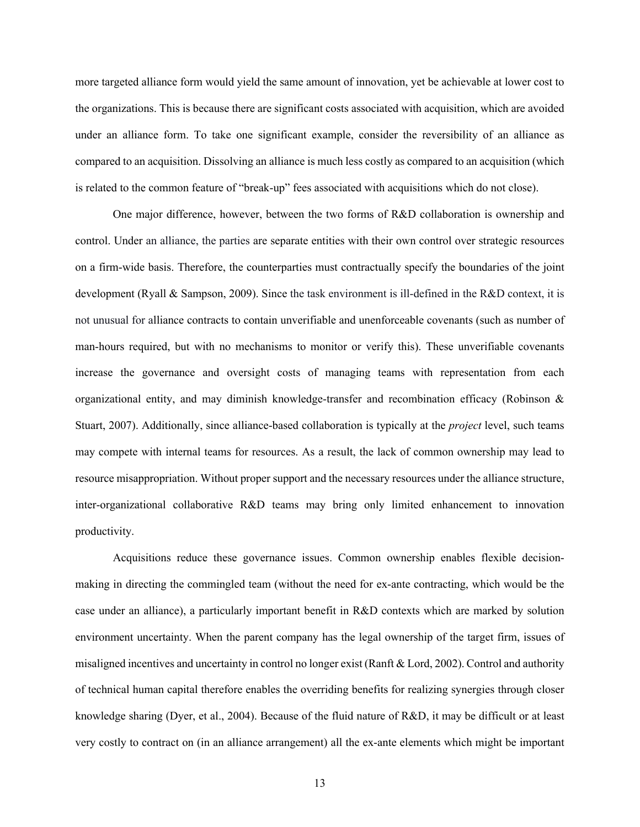more targeted alliance form would yield the same amount of innovation, yet be achievable at lower cost to the organizations. This is because there are significant costs associated with acquisition, which are avoided under an alliance form. To take one significant example, consider the reversibility of an alliance as compared to an acquisition. Dissolving an alliance is much less costly as compared to an acquisition (which is related to the common feature of "break-up" fees associated with acquisitions which do not close).

One major difference, however, between the two forms of R&D collaboration is ownership and control. Under an alliance, the parties are separate entities with their own control over strategic resources on a firm-wide basis. Therefore, the counterparties must contractually specify the boundaries of the joint development (Ryall & Sampson, 2009). Since the task environment is ill-defined in the R&D context, it is not unusual for alliance contracts to contain unverifiable and unenforceable covenants (such as number of man-hours required, but with no mechanisms to monitor or verify this). These unverifiable covenants increase the governance and oversight costs of managing teams with representation from each organizational entity, and may diminish knowledge-transfer and recombination efficacy (Robinson & Stuart, 2007). Additionally, since alliance-based collaboration is typically at the *project* level, such teams may compete with internal teams for resources. As a result, the lack of common ownership may lead to resource misappropriation. Without proper support and the necessary resources under the alliance structure, inter-organizational collaborative R&D teams may bring only limited enhancement to innovation productivity.

Acquisitions reduce these governance issues. Common ownership enables flexible decisionmaking in directing the commingled team (without the need for ex-ante contracting, which would be the case under an alliance), a particularly important benefit in R&D contexts which are marked by solution environment uncertainty. When the parent company has the legal ownership of the target firm, issues of misaligned incentives and uncertainty in control no longer exist (Ranft & Lord, 2002). Control and authority of technical human capital therefore enables the overriding benefits for realizing synergies through closer knowledge sharing (Dyer, et al., 2004). Because of the fluid nature of R&D, it may be difficult or at least very costly to contract on (in an alliance arrangement) all the ex-ante elements which might be important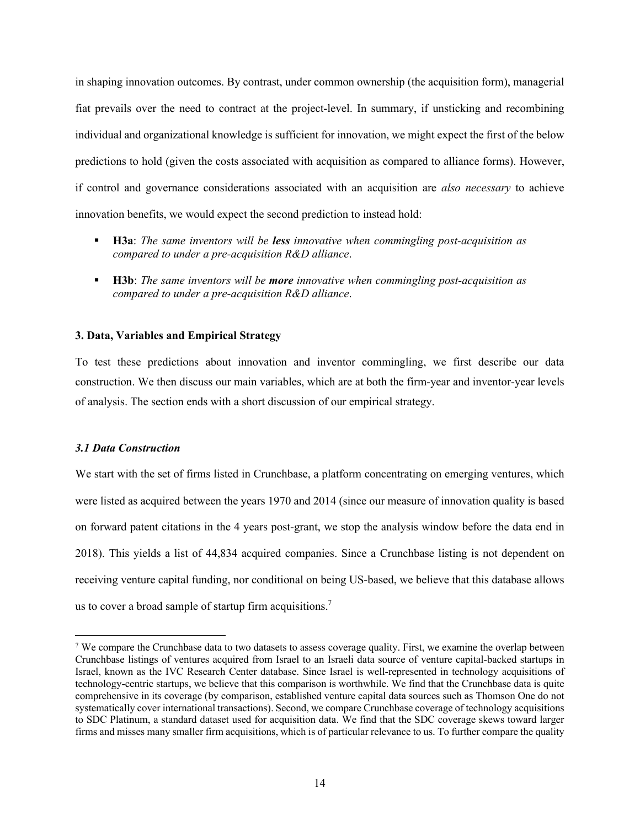in shaping innovation outcomes. By contrast, under common ownership (the acquisition form), managerial fiat prevails over the need to contract at the project-level. In summary, if unsticking and recombining individual and organizational knowledge is sufficient for innovation, we might expect the first of the below predictions to hold (given the costs associated with acquisition as compared to alliance forms). However, if control and governance considerations associated with an acquisition are *also necessary* to achieve innovation benefits, we would expect the second prediction to instead hold:

- § **H3a**: *The same inventors will be less innovative when commingling post-acquisition as compared to under a pre-acquisition R&D alliance*.
- § **H3b**: *The same inventors will be more innovative when commingling post-acquisition as compared to under a pre-acquisition R&D alliance*.

## **3. Data, Variables and Empirical Strategy**

To test these predictions about innovation and inventor commingling, we first describe our data construction. We then discuss our main variables, which are at both the firm-year and inventor-year levels of analysis. The section ends with a short discussion of our empirical strategy.

## *3.1 Data Construction*

We start with the set of firms listed in Crunchbase, a platform concentrating on emerging ventures, which were listed as acquired between the years 1970 and 2014 (since our measure of innovation quality is based on forward patent citations in the 4 years post-grant, we stop the analysis window before the data end in 2018). This yields a list of 44,834 acquired companies. Since a Crunchbase listing is not dependent on receiving venture capital funding, nor conditional on being US-based, we believe that this database allows us to cover a broad sample of startup firm acquisitions.<sup>7</sup>

<sup>&</sup>lt;sup>7</sup> We compare the Crunchbase data to two datasets to assess coverage quality. First, we examine the overlap between Crunchbase listings of ventures acquired from Israel to an Israeli data source of venture capital-backed startups in Israel, known as the IVC Research Center database. Since Israel is well-represented in technology acquisitions of technology-centric startups, we believe that this comparison is worthwhile. We find that the Crunchbase data is quite comprehensive in its coverage (by comparison, established venture capital data sources such as Thomson One do not systematically cover international transactions). Second, we compare Crunchbase coverage of technology acquisitions to SDC Platinum, a standard dataset used for acquisition data. We find that the SDC coverage skews toward larger firms and misses many smaller firm acquisitions, which is of particular relevance to us. To further compare the quality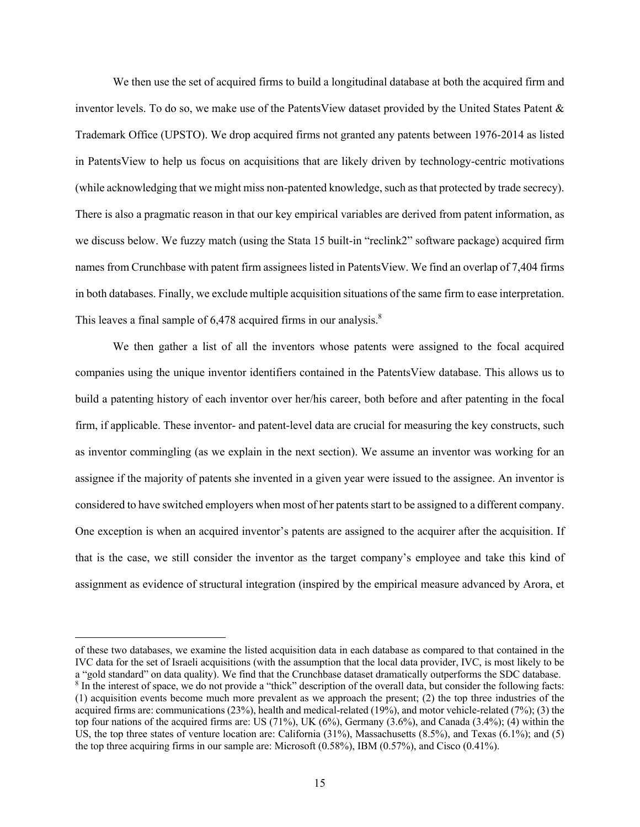We then use the set of acquired firms to build a longitudinal database at both the acquired firm and inventor levels. To do so, we make use of the PatentsView dataset provided by the United States Patent & Trademark Office (UPSTO). We drop acquired firms not granted any patents between 1976-2014 as listed in PatentsView to help us focus on acquisitions that are likely driven by technology-centric motivations (while acknowledging that we might miss non-patented knowledge, such as that protected by trade secrecy). There is also a pragmatic reason in that our key empirical variables are derived from patent information, as we discuss below. We fuzzy match (using the Stata 15 built-in "reclink2" software package) acquired firm names from Crunchbase with patent firm assignees listed in PatentsView. We find an overlap of 7,404 firms in both databases. Finally, we exclude multiple acquisition situations of the same firm to ease interpretation. This leaves a final sample of 6,478 acquired firms in our analysis.<sup>8</sup>

We then gather a list of all the inventors whose patents were assigned to the focal acquired companies using the unique inventor identifiers contained in the PatentsView database. This allows us to build a patenting history of each inventor over her/his career, both before and after patenting in the focal firm, if applicable. These inventor- and patent-level data are crucial for measuring the key constructs, such as inventor commingling (as we explain in the next section). We assume an inventor was working for an assignee if the majority of patents she invented in a given year were issued to the assignee. An inventor is considered to have switched employers when most of her patents start to be assigned to a different company. One exception is when an acquired inventor's patents are assigned to the acquirer after the acquisition. If that is the case, we still consider the inventor as the target company's employee and take this kind of assignment as evidence of structural integration (inspired by the empirical measure advanced by Arora, et

of these two databases, we examine the listed acquisition data in each database as compared to that contained in the IVC data for the set of Israeli acquisitions (with the assumption that the local data provider, IVC, is most likely to be a "gold standard" on data quality). We find that the Crunchbase dataset dramatically outperforms the SDC database.

<sup>8</sup> In the interest of space, we do not provide a "thick" description of the overall data, but consider the following facts: (1) acquisition events become much more prevalent as we approach the present; (2) the top three industries of the acquired firms are: communications (23%), health and medical-related (19%), and motor vehicle-related (7%); (3) the top four nations of the acquired firms are: US (71%), UK (6%), Germany (3.6%), and Canada (3.4%); (4) within the US, the top three states of venture location are: California (31%), Massachusetts (8.5%), and Texas (6.1%); and (5) the top three acquiring firms in our sample are: Microsoft (0.58%), IBM (0.57%), and Cisco (0.41%).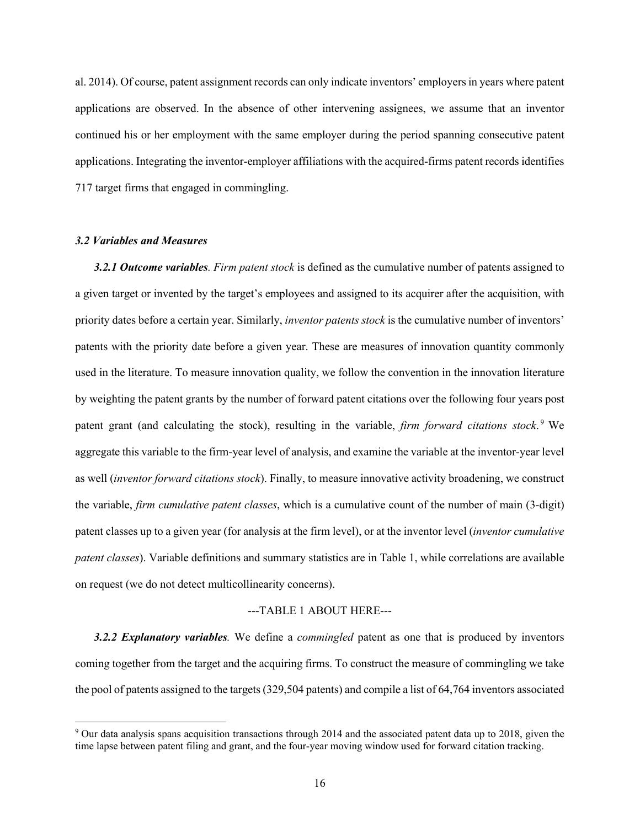al. 2014). Of course, patent assignment records can only indicate inventors' employers in years where patent applications are observed. In the absence of other intervening assignees, we assume that an inventor continued his or her employment with the same employer during the period spanning consecutive patent applications. Integrating the inventor-employer affiliations with the acquired-firms patent records identifies 717 target firms that engaged in commingling.

## *3.2 Variables and Measures*

*3.2.1 Outcome variables. Firm patent stock* is defined as the cumulative number of patents assigned to a given target or invented by the target's employees and assigned to its acquirer after the acquisition, with priority dates before a certain year. Similarly, *inventor patents stock* is the cumulative number of inventors' patents with the priority date before a given year. These are measures of innovation quantity commonly used in the literature. To measure innovation quality, we follow the convention in the innovation literature by weighting the patent grants by the number of forward patent citations over the following four years post patent grant (and calculating the stock), resulting in the variable, *firm forward citations stock*. <sup>9</sup> We aggregate this variable to the firm-year level of analysis, and examine the variable at the inventor-year level as well (*inventor forward citations stock*). Finally, to measure innovative activity broadening, we construct the variable, *firm cumulative patent classes*, which is a cumulative count of the number of main (3-digit) patent classes up to a given year (for analysis at the firm level), or at the inventor level (*inventor cumulative patent classes*). Variable definitions and summary statistics are in Table 1, while correlations are available on request (we do not detect multicollinearity concerns).

## ---TABLE 1 ABOUT HERE---

*3.2.2 Explanatory variables.* We define a *commingled* patent as one that is produced by inventors coming together from the target and the acquiring firms. To construct the measure of commingling we take the pool of patents assigned to the targets(329,504 patents) and compile a list of 64,764 inventors associated

<sup>&</sup>lt;sup>9</sup> Our data analysis spans acquisition transactions through 2014 and the associated patent data up to 2018, given the time lapse between patent filing and grant, and the four-year moving window used for forward citation tracking.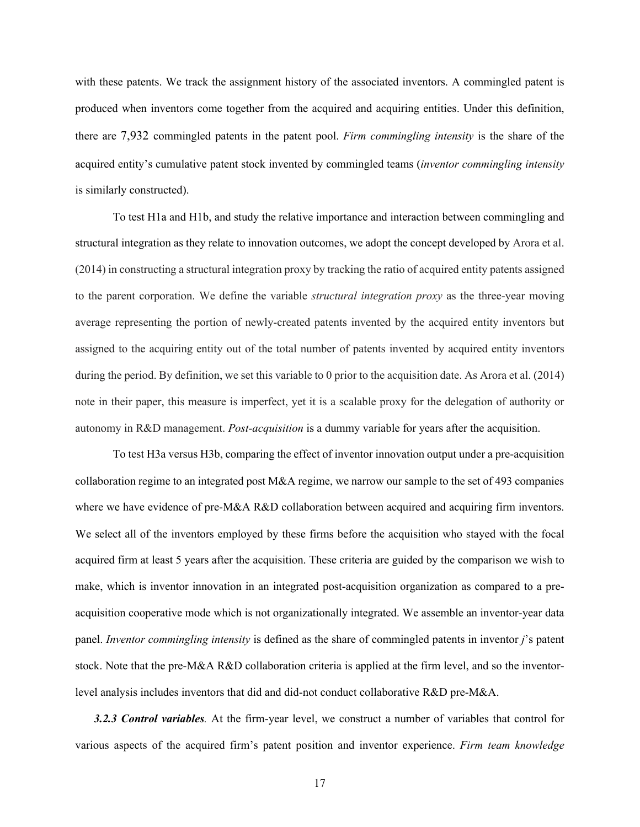with these patents. We track the assignment history of the associated inventors. A commingled patent is produced when inventors come together from the acquired and acquiring entities. Under this definition, there are 7,932 commingled patents in the patent pool. *Firm commingling intensity* is the share of the acquired entity's cumulative patent stock invented by commingled teams (*inventor commingling intensity* is similarly constructed).

To test H1a and H1b, and study the relative importance and interaction between commingling and structural integration as they relate to innovation outcomes, we adopt the concept developed by Arora et al. (2014) in constructing a structural integration proxy by tracking the ratio of acquired entity patents assigned to the parent corporation. We define the variable *structural integration proxy* as the three-year moving average representing the portion of newly-created patents invented by the acquired entity inventors but assigned to the acquiring entity out of the total number of patents invented by acquired entity inventors during the period. By definition, we set this variable to 0 prior to the acquisition date. As Arora et al. (2014) note in their paper, this measure is imperfect, yet it is a scalable proxy for the delegation of authority or autonomy in R&D management. *Post-acquisition* is a dummy variable for years after the acquisition.

To test H3a versus H3b, comparing the effect of inventor innovation output under a pre-acquisition collaboration regime to an integrated post M&A regime, we narrow our sample to the set of 493 companies where we have evidence of pre-M&A R&D collaboration between acquired and acquiring firm inventors. We select all of the inventors employed by these firms before the acquisition who stayed with the focal acquired firm at least 5 years after the acquisition. These criteria are guided by the comparison we wish to make, which is inventor innovation in an integrated post-acquisition organization as compared to a preacquisition cooperative mode which is not organizationally integrated. We assemble an inventor-year data panel. *Inventor commingling intensity* is defined as the share of commingled patents in inventor *j*'s patent stock. Note that the pre-M&A R&D collaboration criteria is applied at the firm level, and so the inventorlevel analysis includes inventors that did and did-not conduct collaborative R&D pre-M&A.

*3.2.3 Control variables.* At the firm-year level, we construct a number of variables that control for various aspects of the acquired firm's patent position and inventor experience. *Firm team knowledge*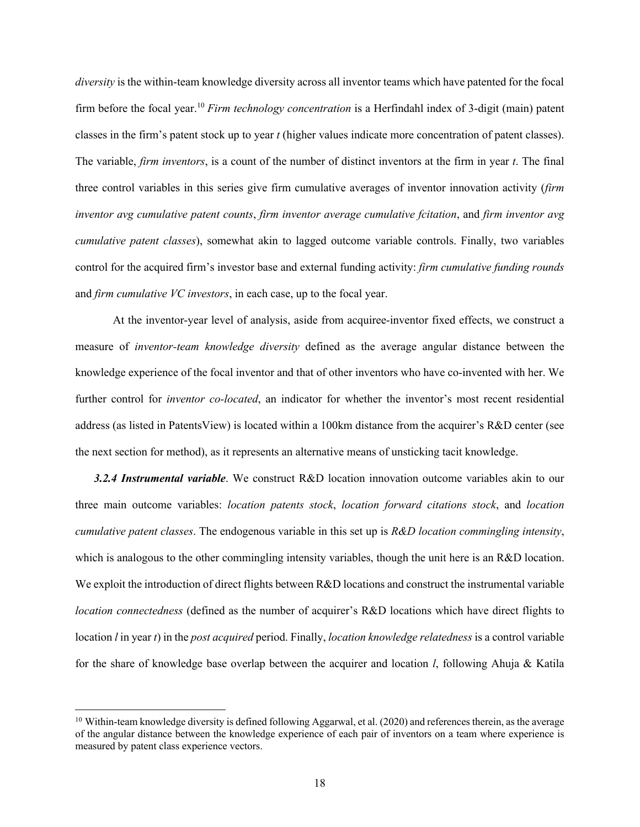*diversity* is the within-team knowledge diversity across all inventor teams which have patented for the focal firm before the focal year.<sup>10</sup> *Firm technology concentration* is a Herfindahl index of 3-digit (main) patent classes in the firm's patent stock up to year *t* (higher values indicate more concentration of patent classes). The variable, *firm inventors*, is a count of the number of distinct inventors at the firm in year *t*. The final three control variables in this series give firm cumulative averages of inventor innovation activity (*firm inventor avg cumulative patent counts*, *firm inventor average cumulative fcitation*, and *firm inventor avg cumulative patent classes*), somewhat akin to lagged outcome variable controls. Finally, two variables control for the acquired firm's investor base and external funding activity: *firm cumulative funding rounds* and *firm cumulative VC investors*, in each case, up to the focal year.

At the inventor-year level of analysis, aside from acquiree-inventor fixed effects, we construct a measure of *inventor-team knowledge diversity* defined as the average angular distance between the knowledge experience of the focal inventor and that of other inventors who have co-invented with her. We further control for *inventor co-located*, an indicator for whether the inventor's most recent residential address (as listed in PatentsView) is located within a 100km distance from the acquirer's R&D center (see the next section for method), as it represents an alternative means of unsticking tacit knowledge.

*3.2.4 Instrumental variable*. We construct R&D location innovation outcome variables akin to our three main outcome variables: *location patents stock*, *location forward citations stock*, and *location cumulative patent classes*. The endogenous variable in this set up is *R&D location commingling intensity*, which is analogous to the other commingling intensity variables, though the unit here is an R&D location. We exploit the introduction of direct flights between R&D locations and construct the instrumental variable *location connectedness* (defined as the number of acquirer's R&D locations which have direct flights to location *l* in year *t*) in the *post acquired* period. Finally, *location knowledge relatedness* is a control variable for the share of knowledge base overlap between the acquirer and location *l*, following Ahuja & Katila

 $10$  Within-team knowledge diversity is defined following Aggarwal, et al. (2020) and references therein, as the average of the angular distance between the knowledge experience of each pair of inventors on a team where experience is measured by patent class experience vectors.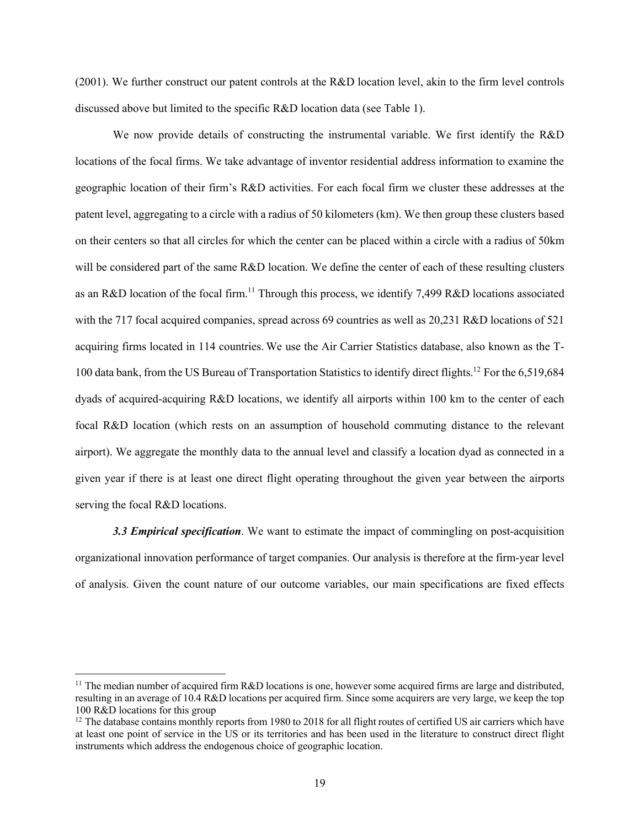(2001). We further construct our patent controls at the R&D location level, akin to the firm level controls discussed above but limited to the specific R&D location data (see Table 1).

We now provide details of constructing the instrumental variable. We first identify the R&D locations of the focal firms. We take advantage of inventor residential address information to examine the geographic location of their firm's R&D activities. For each focal firm we cluster these addresses at the patent level, aggregating to a circle with a radius of 50 kilometers (km). We then group these clusters based on their centers so that all circles for which the center can be placed within a circle with a radius of 50km will be considered part of the same R&D location. We define the center of each of these resulting clusters as an R&D location of the focal firm.<sup>11</sup> Through this process, we identify 7,499 R&D locations associated with the 717 focal acquired companies, spread across 69 countries as well as 20,231 R&D locations of 521 acquiring firms located in 114 countries. We use the Air Carrier Statistics database, also known as the T-100 data bank, from the US Bureau of Transportation Statistics to identify direct flights.12 For the 6,519,684 dyads of acquired-acquiring R&D locations, we identify all airports within 100 km to the center of each focal R&D location (which rests on an assumption of household commuting distance to the relevant airport). We aggregate the monthly data to the annual level and classify a location dyad as connected in a given year if there is at least one direct flight operating throughout the given year between the airports serving the focal R&D locations.

*3.3 Empirical specification*. We want to estimate the impact of commingling on post-acquisition organizational innovation performance of target companies. Our analysis is therefore at the firm-year level of analysis. Given the count nature of our outcome variables, our main specifications are fixed effects

 $11$  The median number of acquired firm R&D locations is one, however some acquired firms are large and distributed, resulting in an average of 10.4 R&D locations per acquired firm. Since some acquirers are very large, we keep the top 100 R&D locations for this group

 $12$  The database contains monthly reports from 1980 to 2018 for all flight routes of certified US air carriers which have at least one point of service in the US or its territories and has been used in the literature to construct direct flight instruments which address the endogenous choice of geographic location.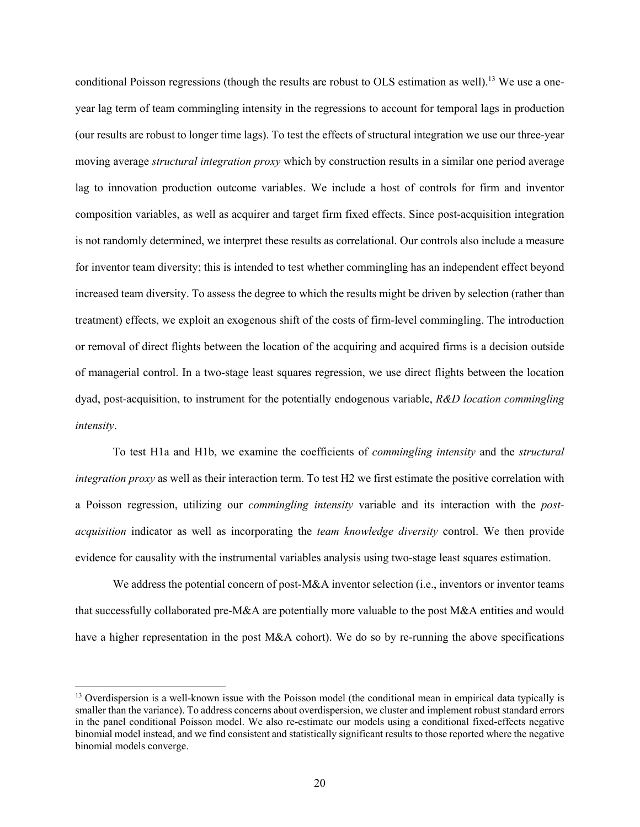conditional Poisson regressions (though the results are robust to OLS estimation as well).<sup>13</sup> We use a oneyear lag term of team commingling intensity in the regressions to account for temporal lags in production (our results are robust to longer time lags). To test the effects of structural integration we use our three-year moving average *structural integration proxy* which by construction results in a similar one period average lag to innovation production outcome variables. We include a host of controls for firm and inventor composition variables, as well as acquirer and target firm fixed effects. Since post-acquisition integration is not randomly determined, we interpret these results as correlational. Our controls also include a measure for inventor team diversity; this is intended to test whether commingling has an independent effect beyond increased team diversity. To assess the degree to which the results might be driven by selection (rather than treatment) effects, we exploit an exogenous shift of the costs of firm-level commingling. The introduction or removal of direct flights between the location of the acquiring and acquired firms is a decision outside of managerial control. In a two-stage least squares regression, we use direct flights between the location dyad, post-acquisition, to instrument for the potentially endogenous variable, *R&D location commingling intensity*.

To test H1a and H1b, we examine the coefficients of *commingling intensity* and the *structural integration proxy* as well as their interaction term. To test H2 we first estimate the positive correlation with a Poisson regression, utilizing our *commingling intensity* variable and its interaction with the *postacquisition* indicator as well as incorporating the *team knowledge diversity* control. We then provide evidence for causality with the instrumental variables analysis using two-stage least squares estimation.

We address the potential concern of post-M&A inventor selection (i.e., inventors or inventor teams that successfully collaborated pre-M&A are potentially more valuable to the post M&A entities and would have a higher representation in the post M&A cohort). We do so by re-running the above specifications

<sup>&</sup>lt;sup>13</sup> Overdispersion is a well-known issue with the Poisson model (the conditional mean in empirical data typically is smaller than the variance). To address concerns about overdispersion, we cluster and implement robust standard errors in the panel conditional Poisson model. We also re-estimate our models using a conditional fixed-effects negative binomial model instead, and we find consistent and statistically significant results to those reported where the negative binomial models converge.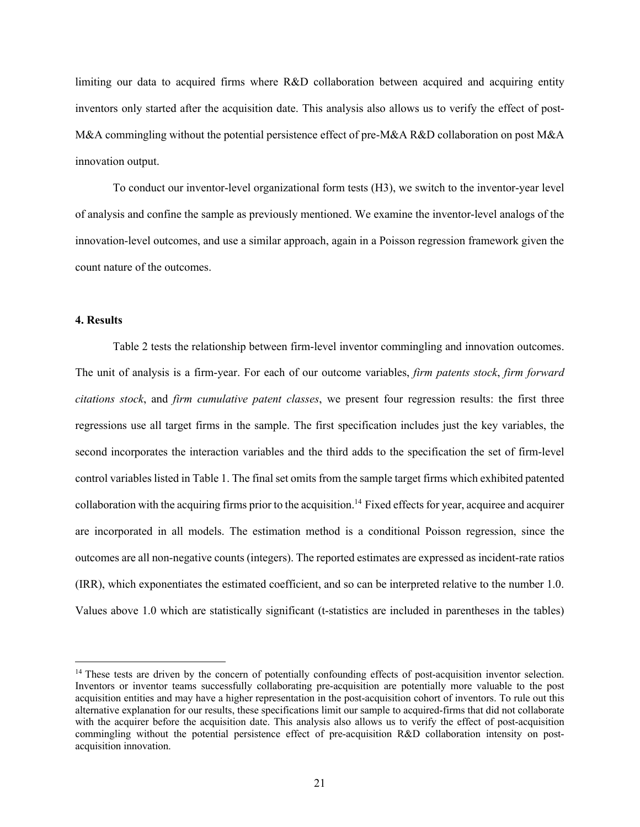limiting our data to acquired firms where R&D collaboration between acquired and acquiring entity inventors only started after the acquisition date. This analysis also allows us to verify the effect of post-M&A commingling without the potential persistence effect of pre-M&A R&D collaboration on post M&A innovation output.

To conduct our inventor-level organizational form tests (H3), we switch to the inventor-year level of analysis and confine the sample as previously mentioned. We examine the inventor-level analogs of the innovation-level outcomes, and use a similar approach, again in a Poisson regression framework given the count nature of the outcomes.

#### **4. Results**

Table 2 tests the relationship between firm-level inventor commingling and innovation outcomes. The unit of analysis is a firm-year. For each of our outcome variables, *firm patents stock*, *firm forward citations stock*, and *firm cumulative patent classes*, we present four regression results: the first three regressions use all target firms in the sample. The first specification includes just the key variables, the second incorporates the interaction variables and the third adds to the specification the set of firm-level control variables listed in Table 1. The final set omits from the sample target firms which exhibited patented collaboration with the acquiring firms prior to the acquisition.<sup>14</sup> Fixed effects for year, acquiree and acquirer are incorporated in all models. The estimation method is a conditional Poisson regression, since the outcomes are all non-negative counts (integers). The reported estimates are expressed as incident-rate ratios (IRR), which exponentiates the estimated coefficient, and so can be interpreted relative to the number 1.0. Values above 1.0 which are statistically significant (t-statistics are included in parentheses in the tables)

<sup>&</sup>lt;sup>14</sup> These tests are driven by the concern of potentially confounding effects of post-acquisition inventor selection. Inventors or inventor teams successfully collaborating pre-acquisition are potentially more valuable to the post acquisition entities and may have a higher representation in the post-acquisition cohort of inventors. To rule out this alternative explanation for our results, these specifications limit our sample to acquired-firms that did not collaborate with the acquirer before the acquisition date. This analysis also allows us to verify the effect of post-acquisition commingling without the potential persistence effect of pre-acquisition R&D collaboration intensity on postacquisition innovation.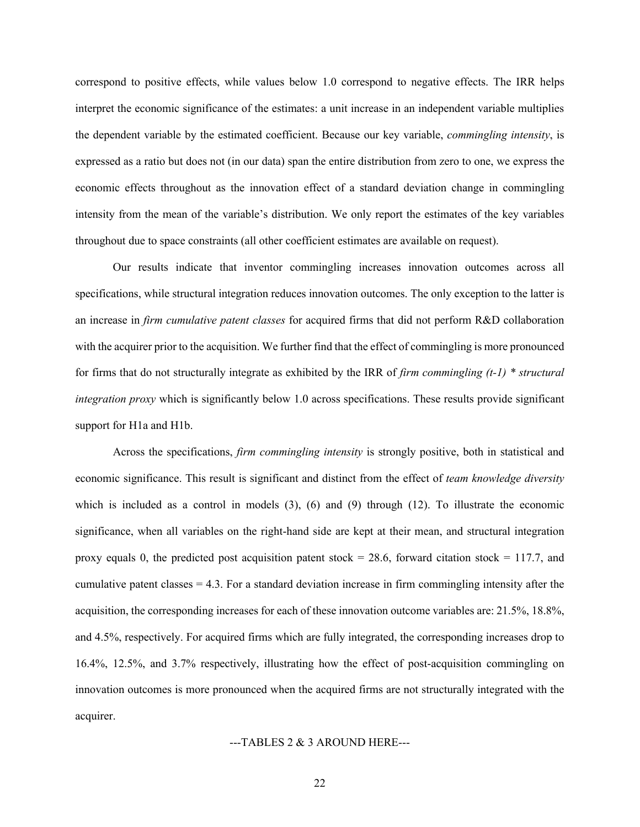correspond to positive effects, while values below 1.0 correspond to negative effects. The IRR helps interpret the economic significance of the estimates: a unit increase in an independent variable multiplies the dependent variable by the estimated coefficient. Because our key variable, *commingling intensity*, is expressed as a ratio but does not (in our data) span the entire distribution from zero to one, we express the economic effects throughout as the innovation effect of a standard deviation change in commingling intensity from the mean of the variable's distribution. We only report the estimates of the key variables throughout due to space constraints (all other coefficient estimates are available on request).

Our results indicate that inventor commingling increases innovation outcomes across all specifications, while structural integration reduces innovation outcomes. The only exception to the latter is an increase in *firm cumulative patent classes* for acquired firms that did not perform R&D collaboration with the acquirer prior to the acquisition. We further find that the effect of commingling is more pronounced for firms that do not structurally integrate as exhibited by the IRR of *firm commingling (t-1) \* structural integration proxy* which is significantly below 1.0 across specifications. These results provide significant support for H1a and H1b.

Across the specifications, *firm commingling intensity* is strongly positive, both in statistical and economic significance. This result is significant and distinct from the effect of *team knowledge diversity* which is included as a control in models (3), (6) and (9) through (12). To illustrate the economic significance, when all variables on the right-hand side are kept at their mean, and structural integration proxy equals 0, the predicted post acquisition patent stock =  $28.6$ , forward citation stock = 117.7, and cumulative patent classes  $= 4.3$ . For a standard deviation increase in firm commingling intensity after the acquisition, the corresponding increases for each of these innovation outcome variables are: 21.5%, 18.8%, and 4.5%, respectively. For acquired firms which are fully integrated, the corresponding increases drop to 16.4%, 12.5%, and 3.7% respectively, illustrating how the effect of post-acquisition commingling on innovation outcomes is more pronounced when the acquired firms are not structurally integrated with the acquirer.

## ---TABLES 2 & 3 AROUND HERE---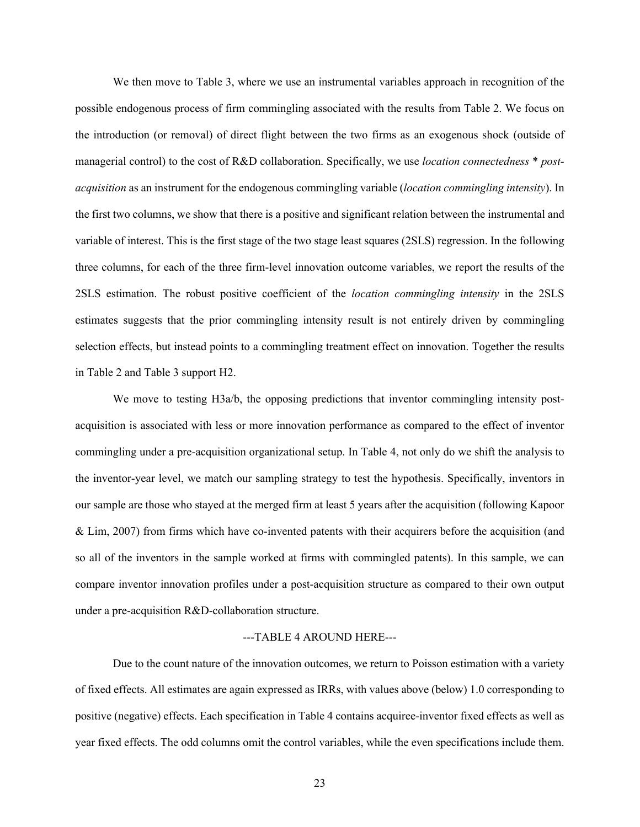We then move to Table 3, where we use an instrumental variables approach in recognition of the possible endogenous process of firm commingling associated with the results from Table 2. We focus on the introduction (or removal) of direct flight between the two firms as an exogenous shock (outside of managerial control) to the cost of R&D collaboration. Specifically, we use *location connectedness* \* *postacquisition* as an instrument for the endogenous commingling variable (*location commingling intensity*). In the first two columns, we show that there is a positive and significant relation between the instrumental and variable of interest. This is the first stage of the two stage least squares (2SLS) regression. In the following three columns, for each of the three firm-level innovation outcome variables, we report the results of the 2SLS estimation. The robust positive coefficient of the *location commingling intensity* in the 2SLS estimates suggests that the prior commingling intensity result is not entirely driven by commingling selection effects, but instead points to a commingling treatment effect on innovation. Together the results in Table 2 and Table 3 support H2.

We move to testing H3a/b, the opposing predictions that inventor commingling intensity postacquisition is associated with less or more innovation performance as compared to the effect of inventor commingling under a pre-acquisition organizational setup. In Table 4, not only do we shift the analysis to the inventor-year level, we match our sampling strategy to test the hypothesis. Specifically, inventors in our sample are those who stayed at the merged firm at least 5 years after the acquisition (following Kapoor & Lim, 2007) from firms which have co-invented patents with their acquirers before the acquisition (and so all of the inventors in the sample worked at firms with commingled patents). In this sample, we can compare inventor innovation profiles under a post-acquisition structure as compared to their own output under a pre-acquisition R&D-collaboration structure.

## ---TABLE 4 AROUND HERE---

Due to the count nature of the innovation outcomes, we return to Poisson estimation with a variety of fixed effects. All estimates are again expressed as IRRs, with values above (below) 1.0 corresponding to positive (negative) effects. Each specification in Table 4 contains acquiree-inventor fixed effects as well as year fixed effects. The odd columns omit the control variables, while the even specifications include them.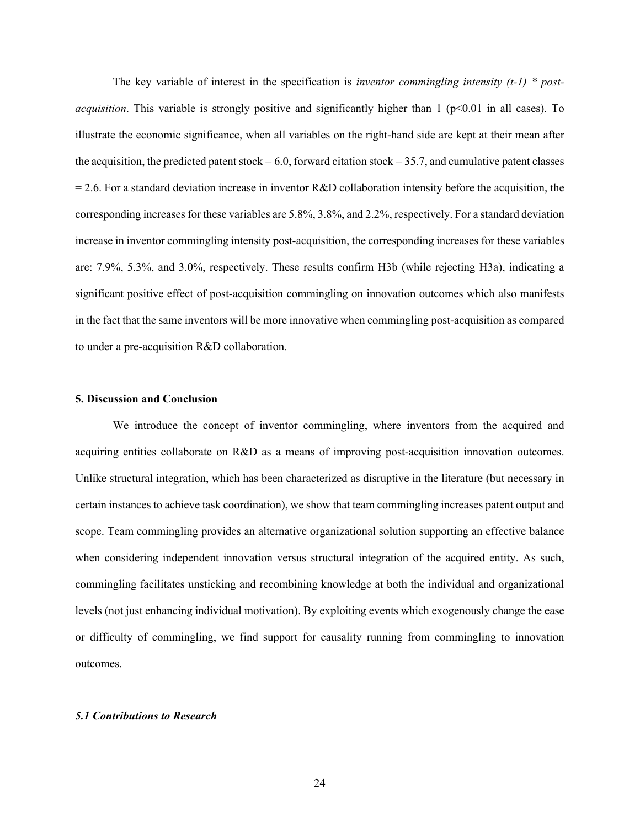The key variable of interest in the specification is *inventor commingling intensity (t-1) \* postacquisition*. This variable is strongly positive and significantly higher than  $1$  ( $p<0.01$  in all cases). To illustrate the economic significance, when all variables on the right-hand side are kept at their mean after the acquisition, the predicted patent stock  $= 6.0$ , forward citation stock  $= 35.7$ , and cumulative patent classes  $= 2.6$ . For a standard deviation increase in inventor R&D collaboration intensity before the acquisition, the corresponding increases for these variables are 5.8%, 3.8%, and 2.2%, respectively. For a standard deviation increase in inventor commingling intensity post-acquisition, the corresponding increases for these variables are: 7.9%, 5.3%, and 3.0%, respectively. These results confirm H3b (while rejecting H3a), indicating a significant positive effect of post-acquisition commingling on innovation outcomes which also manifests in the fact that the same inventors will be more innovative when commingling post-acquisition as compared to under a pre-acquisition R&D collaboration.

## **5. Discussion and Conclusion**

We introduce the concept of inventor commingling, where inventors from the acquired and acquiring entities collaborate on R&D as a means of improving post-acquisition innovation outcomes. Unlike structural integration, which has been characterized as disruptive in the literature (but necessary in certain instances to achieve task coordination), we show that team commingling increases patent output and scope. Team commingling provides an alternative organizational solution supporting an effective balance when considering independent innovation versus structural integration of the acquired entity. As such, commingling facilitates unsticking and recombining knowledge at both the individual and organizational levels (not just enhancing individual motivation). By exploiting events which exogenously change the ease or difficulty of commingling, we find support for causality running from commingling to innovation outcomes.

#### *5.1 Contributions to Research*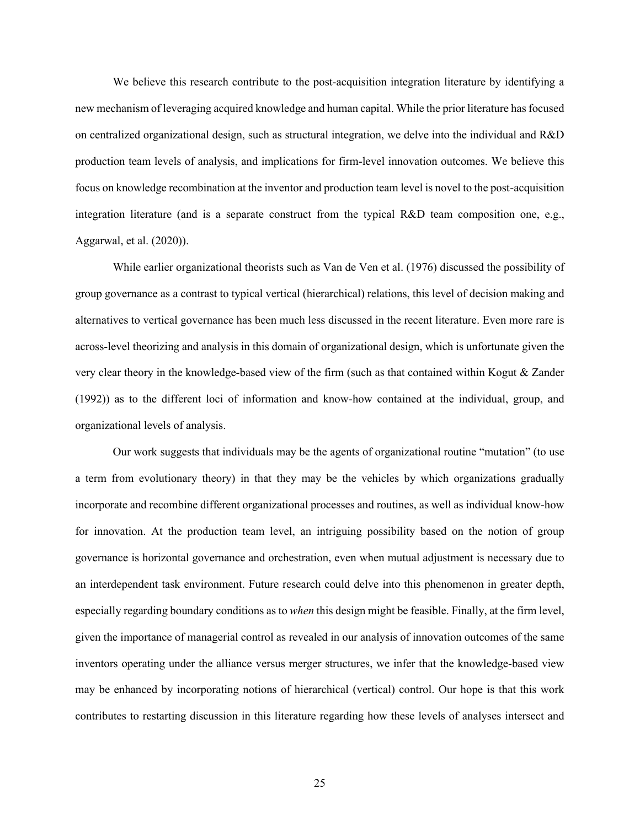We believe this research contribute to the post-acquisition integration literature by identifying a new mechanism of leveraging acquired knowledge and human capital. While the prior literature has focused on centralized organizational design, such as structural integration, we delve into the individual and R&D production team levels of analysis, and implications for firm-level innovation outcomes. We believe this focus on knowledge recombination at the inventor and production team level is novel to the post-acquisition integration literature (and is a separate construct from the typical R&D team composition one, e.g., Aggarwal, et al. (2020)).

While earlier organizational theorists such as Van de Ven et al. (1976) discussed the possibility of group governance as a contrast to typical vertical (hierarchical) relations, this level of decision making and alternatives to vertical governance has been much less discussed in the recent literature. Even more rare is across-level theorizing and analysis in this domain of organizational design, which is unfortunate given the very clear theory in the knowledge-based view of the firm (such as that contained within Kogut & Zander (1992)) as to the different loci of information and know-how contained at the individual, group, and organizational levels of analysis.

Our work suggests that individuals may be the agents of organizational routine "mutation" (to use a term from evolutionary theory) in that they may be the vehicles by which organizations gradually incorporate and recombine different organizational processes and routines, as well as individual know-how for innovation. At the production team level, an intriguing possibility based on the notion of group governance is horizontal governance and orchestration, even when mutual adjustment is necessary due to an interdependent task environment. Future research could delve into this phenomenon in greater depth, especially regarding boundary conditions as to *when* this design might be feasible. Finally, at the firm level, given the importance of managerial control as revealed in our analysis of innovation outcomes of the same inventors operating under the alliance versus merger structures, we infer that the knowledge-based view may be enhanced by incorporating notions of hierarchical (vertical) control. Our hope is that this work contributes to restarting discussion in this literature regarding how these levels of analyses intersect and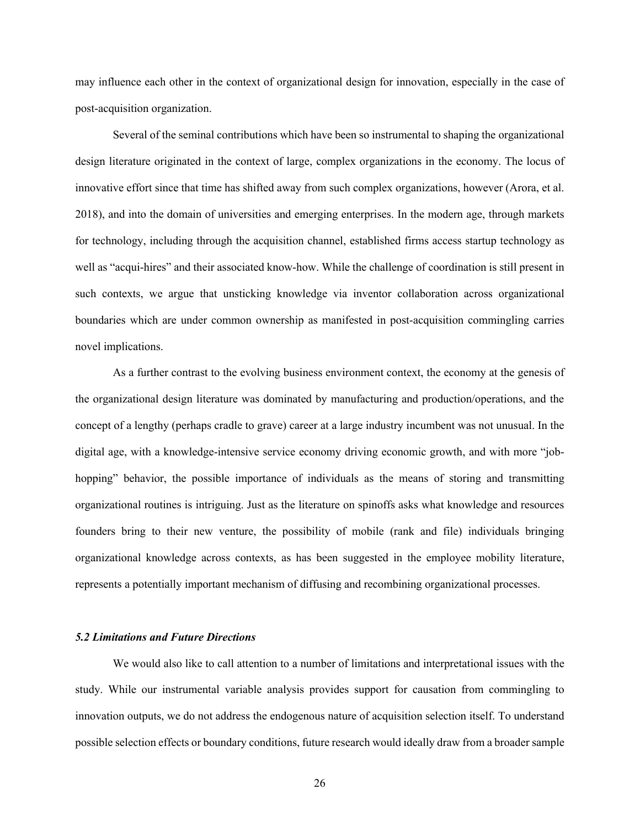may influence each other in the context of organizational design for innovation, especially in the case of post-acquisition organization.

Several of the seminal contributions which have been so instrumental to shaping the organizational design literature originated in the context of large, complex organizations in the economy. The locus of innovative effort since that time has shifted away from such complex organizations, however (Arora, et al. 2018), and into the domain of universities and emerging enterprises. In the modern age, through markets for technology, including through the acquisition channel, established firms access startup technology as well as "acqui-hires" and their associated know-how. While the challenge of coordination is still present in such contexts, we argue that unsticking knowledge via inventor collaboration across organizational boundaries which are under common ownership as manifested in post-acquisition commingling carries novel implications.

As a further contrast to the evolving business environment context, the economy at the genesis of the organizational design literature was dominated by manufacturing and production/operations, and the concept of a lengthy (perhaps cradle to grave) career at a large industry incumbent was not unusual. In the digital age, with a knowledge-intensive service economy driving economic growth, and with more "jobhopping" behavior, the possible importance of individuals as the means of storing and transmitting organizational routines is intriguing. Just as the literature on spinoffs asks what knowledge and resources founders bring to their new venture, the possibility of mobile (rank and file) individuals bringing organizational knowledge across contexts, as has been suggested in the employee mobility literature, represents a potentially important mechanism of diffusing and recombining organizational processes.

## *5.2 Limitations and Future Directions*

We would also like to call attention to a number of limitations and interpretational issues with the study. While our instrumental variable analysis provides support for causation from commingling to innovation outputs, we do not address the endogenous nature of acquisition selection itself. To understand possible selection effects or boundary conditions, future research would ideally draw from a broader sample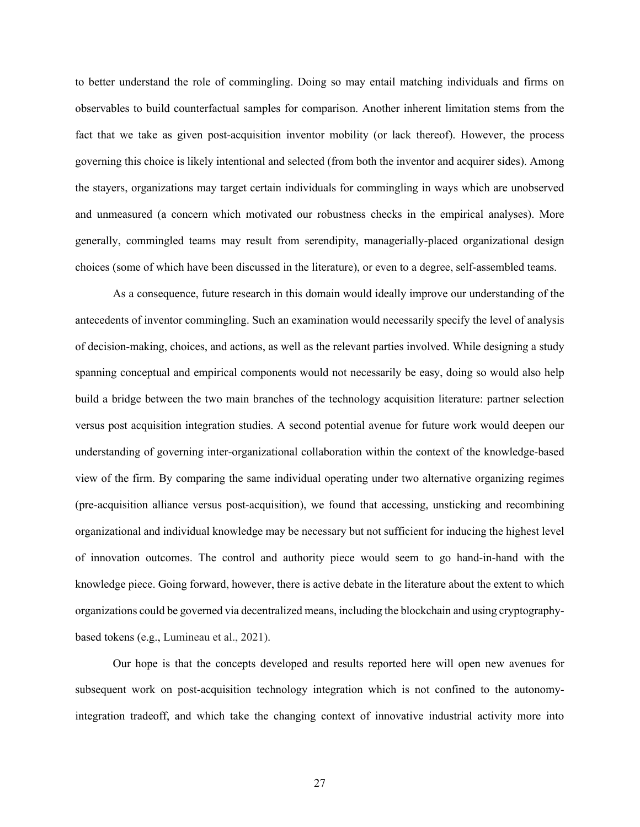to better understand the role of commingling. Doing so may entail matching individuals and firms on observables to build counterfactual samples for comparison. Another inherent limitation stems from the fact that we take as given post-acquisition inventor mobility (or lack thereof). However, the process governing this choice is likely intentional and selected (from both the inventor and acquirer sides). Among the stayers, organizations may target certain individuals for commingling in ways which are unobserved and unmeasured (a concern which motivated our robustness checks in the empirical analyses). More generally, commingled teams may result from serendipity, managerially-placed organizational design choices (some of which have been discussed in the literature), or even to a degree, self-assembled teams.

As a consequence, future research in this domain would ideally improve our understanding of the antecedents of inventor commingling. Such an examination would necessarily specify the level of analysis of decision-making, choices, and actions, as well as the relevant parties involved. While designing a study spanning conceptual and empirical components would not necessarily be easy, doing so would also help build a bridge between the two main branches of the technology acquisition literature: partner selection versus post acquisition integration studies. A second potential avenue for future work would deepen our understanding of governing inter-organizational collaboration within the context of the knowledge-based view of the firm. By comparing the same individual operating under two alternative organizing regimes (pre-acquisition alliance versus post-acquisition), we found that accessing, unsticking and recombining organizational and individual knowledge may be necessary but not sufficient for inducing the highest level of innovation outcomes. The control and authority piece would seem to go hand-in-hand with the knowledge piece. Going forward, however, there is active debate in the literature about the extent to which organizations could be governed via decentralized means, including the blockchain and using cryptographybased tokens (e.g., Lumineau et al., 2021).

Our hope is that the concepts developed and results reported here will open new avenues for subsequent work on post-acquisition technology integration which is not confined to the autonomyintegration tradeoff, and which take the changing context of innovative industrial activity more into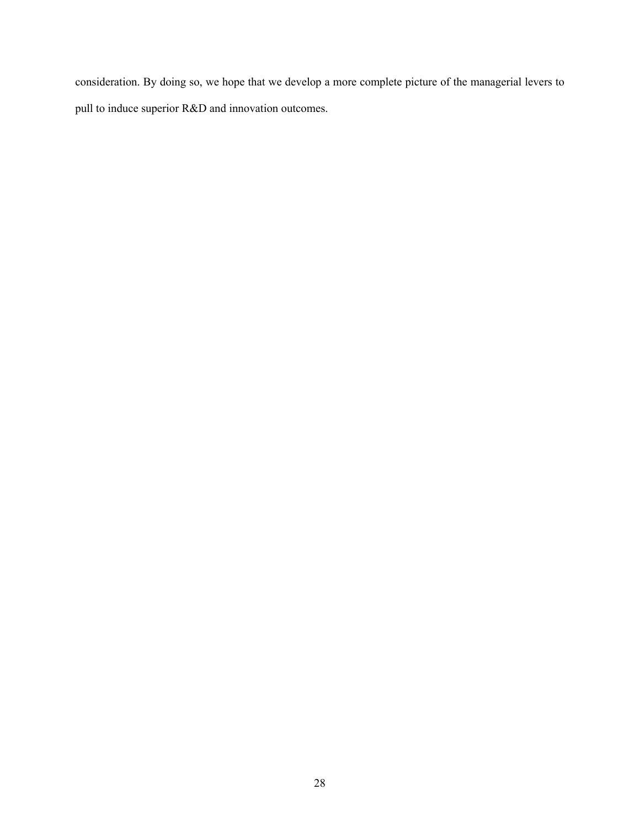consideration. By doing so, we hope that we develop a more complete picture of the managerial levers to pull to induce superior R&D and innovation outcomes.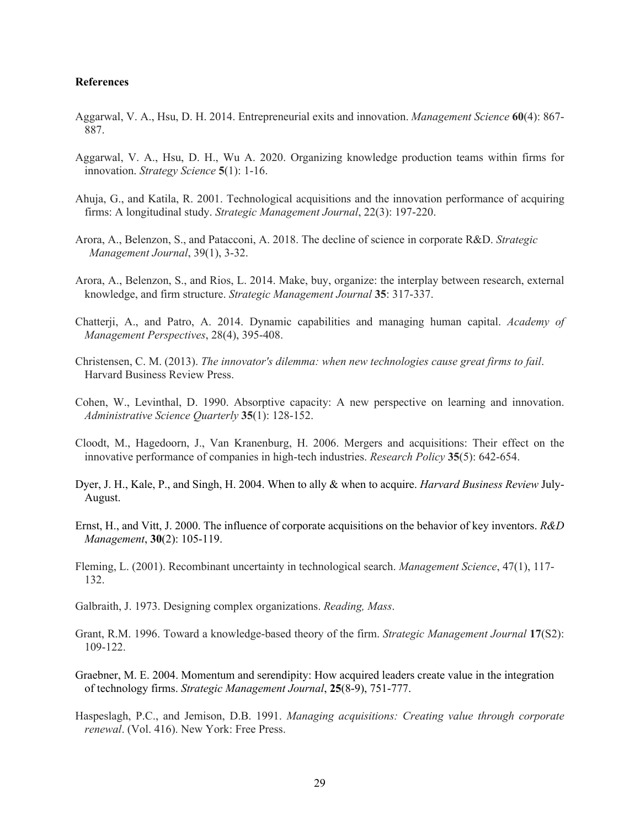## **References**

- Aggarwal, V. A., Hsu, D. H. 2014. Entrepreneurial exits and innovation. *Management Science* **60**(4): 867- 887.
- Aggarwal, V. A., Hsu, D. H., Wu A. 2020. Organizing knowledge production teams within firms for innovation. *Strategy Science* **5**(1): 1-16.
- Ahuja, G., and Katila, R. 2001. Technological acquisitions and the innovation performance of acquiring firms: A longitudinal study. *Strategic Management Journal*, 22(3): 197-220.
- Arora, A., Belenzon, S., and Patacconi, A. 2018. The decline of science in corporate R&D. *Strategic Management Journal*, 39(1), 3-32.
- Arora, A., Belenzon, S., and Rios, L. 2014. Make, buy, organize: the interplay between research, external knowledge, and firm structure. *Strategic Management Journal* **35**: 317-337.
- Chatterji, A., and Patro, A. 2014. Dynamic capabilities and managing human capital. *Academy of Management Perspectives*, 28(4), 395-408.
- Christensen, C. M. (2013). *The innovator's dilemma: when new technologies cause great firms to fail*. Harvard Business Review Press.
- Cohen, W., Levinthal, D. 1990. Absorptive capacity: A new perspective on learning and innovation. *Administrative Science Quarterly* **35**(1): 128-152.
- Cloodt, M., Hagedoorn, J., Van Kranenburg, H. 2006. Mergers and acquisitions: Their effect on the innovative performance of companies in high-tech industries. *Research Policy* **35**(5): 642-654.
- Dyer, J. H., Kale, P., and Singh, H. 2004. When to ally & when to acquire. *Harvard Business Review* July-August.
- Ernst, H., and Vitt, J. 2000. The influence of corporate acquisitions on the behavior of key inventors. *R&D Management*, **30**(2): 105-119.
- Fleming, L. (2001). Recombinant uncertainty in technological search. *Management Science*, 47(1), 117- 132.

Galbraith, J. 1973. Designing complex organizations. *Reading, Mass*.

- Grant, R.M. 1996. Toward a knowledge-based theory of the firm. *Strategic Management Journal* **17**(S2): 109-122.
- Graebner, M. E. 2004. Momentum and serendipity: How acquired leaders create value in the integration of technology firms. *Strategic Management Journal*, **25**(8‐9), 751-777.
- Haspeslagh, P.C., and Jemison, D.B. 1991. *Managing acquisitions: Creating value through corporate renewal*. (Vol. 416). New York: Free Press.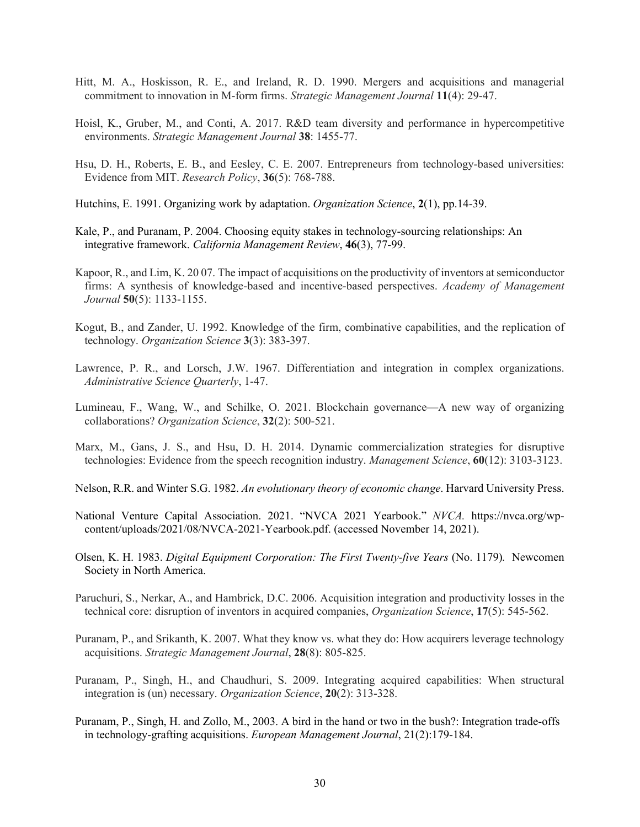- Hitt, M. A., Hoskisson, R. E., and Ireland, R. D. 1990. Mergers and acquisitions and managerial commitment to innovation in M-form firms. *Strategic Management Journal* **11**(4): 29-47.
- Hoisl, K., Gruber, M., and Conti, A. 2017. R&D team diversity and performance in hypercompetitive environments. *Strategic Management Journal* **38**: 1455-77.
- Hsu, D. H., Roberts, E. B., and Eesley, C. E. 2007. Entrepreneurs from technology-based universities: Evidence from MIT. *Research Policy*, **36**(5): 768-788.
- Hutchins, E. 1991. Organizing work by adaptation. *Organization Science*, **2**(1), pp.14-39.
- Kale, P., and Puranam, P. 2004. Choosing equity stakes in technology-sourcing relationships: An integrative framework. *California Management Review*, **46**(3), 77-99.
- Kapoor, R., and Lim, K. 20 07. The impact of acquisitions on the productivity of inventors at semiconductor firms: A synthesis of knowledge-based and incentive-based perspectives. *Academy of Management Journal* **50**(5): 1133-1155.
- Kogut, B., and Zander, U. 1992. Knowledge of the firm, combinative capabilities, and the replication of technology. *Organization Science* **3**(3): 383-397.
- Lawrence, P. R., and Lorsch, J.W. 1967. Differentiation and integration in complex organizations. *Administrative Science Quarterly*, 1-47.
- Lumineau, F., Wang, W., and Schilke, O. 2021. Blockchain governance—A new way of organizing collaborations? *Organization Science*, **32**(2): 500-521.
- Marx, M., Gans, J. S., and Hsu, D. H. 2014. Dynamic commercialization strategies for disruptive technologies: Evidence from the speech recognition industry. *Management Science*, **60**(12): 3103-3123.
- Nelson, R.R. and Winter S.G. 1982. *An evolutionary theory of economic change*. Harvard University Press.
- National Venture Capital Association. 2021. "NVCA 2021 Yearbook." *NVCA.* https://nvca.org/wpcontent/uploads/2021/08/NVCA-2021-Yearbook.pdf. (accessed November 14, 2021).
- Olsen, K. H. 1983. *Digital Equipment Corporation: The First Twenty-five Years* (No. 1179)*.* Newcomen Society in North America.
- Paruchuri, S., Nerkar, A., and Hambrick, D.C. 2006. Acquisition integration and productivity losses in the technical core: disruption of inventors in acquired companies, *Organization Science*, **17**(5): 545-562.
- Puranam, P., and Srikanth, K. 2007. What they know vs. what they do: How acquirers leverage technology acquisitions. *Strategic Management Journal*, **28**(8): 805-825.
- Puranam, P., Singh, H., and Chaudhuri, S. 2009. Integrating acquired capabilities: When structural integration is (un) necessary. *Organization Science*, **20**(2): 313-328.
- Puranam, P., Singh, H. and Zollo, M., 2003. A bird in the hand or two in the bush?: Integration trade-offs in technology-grafting acquisitions. *European Management Journal*, 21(2):179-184.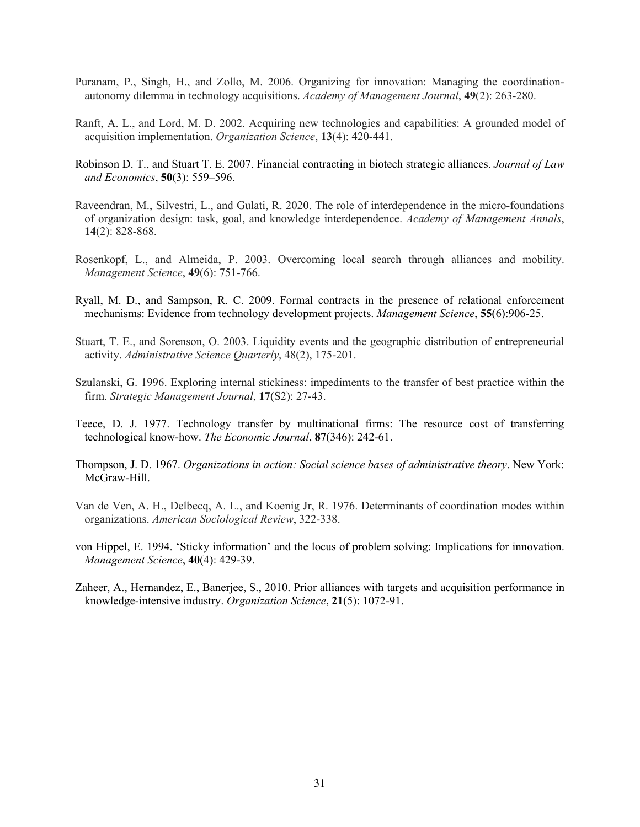- Puranam, P., Singh, H., and Zollo, M. 2006. Organizing for innovation: Managing the coordinationautonomy dilemma in technology acquisitions. *Academy of Management Journal*, **49**(2): 263-280.
- Ranft, A. L., and Lord, M. D. 2002. Acquiring new technologies and capabilities: A grounded model of acquisition implementation. *Organization Science*, **13**(4): 420-441.
- Robinson D. T., and Stuart T. E. 2007. Financial contracting in biotech strategic alliances. *Journal of Law and Economics*, **50**(3): 559–596.
- Raveendran, M., Silvestri, L., and Gulati, R. 2020. The role of interdependence in the micro-foundations of organization design: task, goal, and knowledge interdependence. *Academy of Management Annals*, **14**(2): 828-868.
- Rosenkopf, L., and Almeida, P. 2003. Overcoming local search through alliances and mobility. *Management Science*, **49**(6): 751-766.
- Ryall, M. D., and Sampson, R. C. 2009. Formal contracts in the presence of relational enforcement mechanisms: Evidence from technology development projects. *Management Science*, **55**(6):906-25.
- Stuart, T. E., and Sorenson, O. 2003. Liquidity events and the geographic distribution of entrepreneurial activity. *Administrative Science Quarterly*, 48(2), 175-201.
- Szulanski, G. 1996. Exploring internal stickiness: impediments to the transfer of best practice within the firm. *Strategic Management Journal*, **17**(S2): 27-43.
- Teece, D. J. 1977. Technology transfer by multinational firms: The resource cost of transferring technological know-how. *The Economic Journal*, **87**(346): 242-61.
- Thompson, J. D. 1967. *Organizations in action: Social science bases of administrative theory*. New York: McGraw-Hill.
- Van de Ven, A. H., Delbecq, A. L., and Koenig Jr, R. 1976. Determinants of coordination modes within organizations. *American Sociological Review*, 322-338.
- von Hippel, E. 1994. 'Sticky information' and the locus of problem solving: Implications for innovation. *Management Science*, **40**(4): 429-39.
- Zaheer, A., Hernandez, E., Banerjee, S., 2010. Prior alliances with targets and acquisition performance in knowledge-intensive industry. *Organization Science*, **21**(5): 1072-91.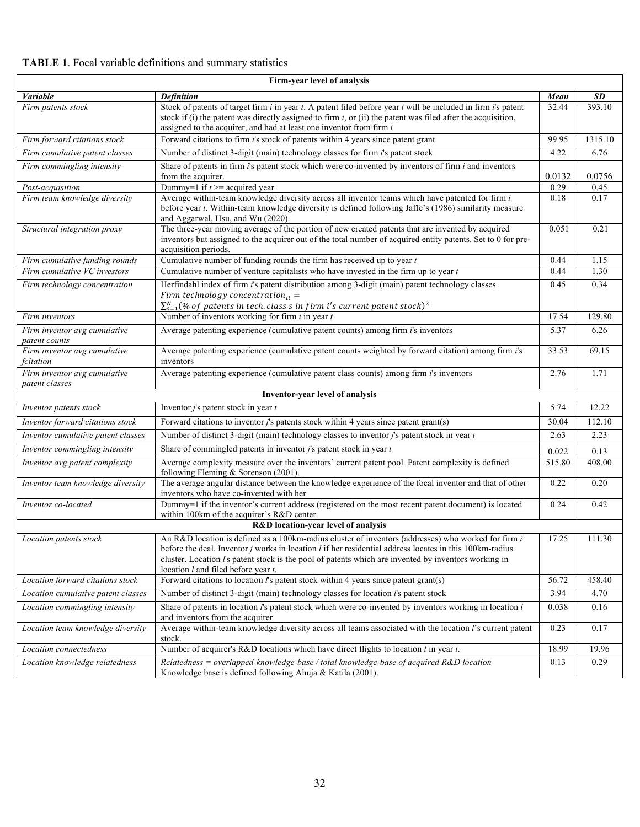## **TABLE 1**. Focal variable definitions and summary statistics

| Firm-year level of analysis                    |                                                                                                                                                                                                                                                                                                                                                                                    |        |           |  |  |  |  |  |  |
|------------------------------------------------|------------------------------------------------------------------------------------------------------------------------------------------------------------------------------------------------------------------------------------------------------------------------------------------------------------------------------------------------------------------------------------|--------|-----------|--|--|--|--|--|--|
| Variable                                       | <b>Definition</b>                                                                                                                                                                                                                                                                                                                                                                  | Mean   | <b>SD</b> |  |  |  |  |  |  |
| Firm patents stock                             | Stock of patents of target firm $i$ in year $t$ . A patent filed before year $t$ will be included in firm $i$ 's patent<br>stock if (i) the patent was directly assigned to firm $i$ , or (ii) the patent was filed after the acquisition,<br>assigned to the acquirer, and had at least one inventor from firm $i$                                                                | 32.44  | 393.10    |  |  |  |  |  |  |
| Firm forward citations stock                   | Forward citations to firm <i>i</i> 's stock of patents within 4 years since patent grant                                                                                                                                                                                                                                                                                           | 99.95  | 1315.10   |  |  |  |  |  |  |
| Firm cumulative patent classes                 | Number of distinct 3-digit (main) technology classes for firm i's patent stock                                                                                                                                                                                                                                                                                                     | 4.22   | 6.76      |  |  |  |  |  |  |
| Firm commingling intensity                     | Share of patents in firm i's patent stock which were co-invented by inventors of firm i and inventors<br>from the acquirer.                                                                                                                                                                                                                                                        | 0.0132 | 0.0756    |  |  |  |  |  |  |
| Post-acquisition                               | Dummy=1 if $t$ >= acquired year                                                                                                                                                                                                                                                                                                                                                    | 0.29   | 0.45      |  |  |  |  |  |  |
| Firm team knowledge diversity                  | Average within-team knowledge diversity across all inventor teams which have patented for firm i<br>before year t. Within-team knowledge diversity is defined following Jaffe's (1986) similarity measure<br>and Aggarwal, Hsu, and Wu (2020).                                                                                                                                     | 0.18   | 0.17      |  |  |  |  |  |  |
| Structural integration proxy                   | The three-year moving average of the portion of new created patents that are invented by acquired<br>inventors but assigned to the acquirer out of the total number of acquired entity patents. Set to 0 for pre-<br>acquisition periods.                                                                                                                                          | 0.051  | 0.21      |  |  |  |  |  |  |
| Firm cumulative funding rounds                 | Cumulative number of funding rounds the firm has received up to year $t$                                                                                                                                                                                                                                                                                                           | 0.44   | 1.15      |  |  |  |  |  |  |
| Firm cumulative VC investors                   | Cumulative number of venture capitalists who have invested in the firm up to year $t$                                                                                                                                                                                                                                                                                              | 0.44   | 1.30      |  |  |  |  |  |  |
| Firm technology concentration                  | Herfindahl index of firm i's patent distribution among 3-digit (main) patent technology classes<br>Firm technology concentration $_{it}$ =<br>$\sum_{s=1}^{N} (\% of paths in tech.class s in firm i's current patent stock)^2$                                                                                                                                                    | 0.45   | 0.34      |  |  |  |  |  |  |
| Firm inventors                                 | Number of inventors working for firm $i$ in year $t$                                                                                                                                                                                                                                                                                                                               | 17.54  | 129.80    |  |  |  |  |  |  |
| Firm inventor avg cumulative<br>patent counts  | Average patenting experience (cumulative patent counts) among firm <i>i</i> 's inventors                                                                                                                                                                                                                                                                                           | 5.37   | 6.26      |  |  |  |  |  |  |
| Firm inventor avg cumulative<br>fcitation      | Average patenting experience (cumulative patent counts weighted by forward citation) among firm i's<br>inventors                                                                                                                                                                                                                                                                   | 33.53  | 69.15     |  |  |  |  |  |  |
| Firm inventor avg cumulative<br>patent classes | Average patenting experience (cumulative patent class counts) among firm <i>i</i> 's inventors                                                                                                                                                                                                                                                                                     | 2.76   | 1.71      |  |  |  |  |  |  |
|                                                | Inventor-year level of analysis                                                                                                                                                                                                                                                                                                                                                    |        |           |  |  |  |  |  |  |
| Inventor patents stock                         | Inventor $j$ 's patent stock in year $t$                                                                                                                                                                                                                                                                                                                                           | 5.74   | 12.22     |  |  |  |  |  |  |
| Inventor forward citations stock               | Forward citations to inventor $j$ 's patents stock within 4 years since patent grant(s)                                                                                                                                                                                                                                                                                            | 30.04  | 112.10    |  |  |  |  |  |  |
| Inventor cumulative patent classes             | Number of distinct 3-digit (main) technology classes to inventor $j$ 's patent stock in year $t$                                                                                                                                                                                                                                                                                   | 2.63   | 2.23      |  |  |  |  |  |  |
| Inventor commingling intensity                 | Share of commingled patents in inventor $j$ 's patent stock in year $t$                                                                                                                                                                                                                                                                                                            | 0.022  | 0.13      |  |  |  |  |  |  |
| Inventor avg patent complexity                 | Average complexity measure over the inventors' current patent pool. Patent complexity is defined<br>following Fleming & Sorenson (2001).                                                                                                                                                                                                                                           | 515.80 | 408.00    |  |  |  |  |  |  |
| Inventor team knowledge diversity              | The average angular distance between the knowledge experience of the focal inventor and that of other<br>inventors who have co-invented with her                                                                                                                                                                                                                                   | 0.22   | 0.20      |  |  |  |  |  |  |
| Inventor co-located                            | Dummy=1 if the inventor's current address (registered on the most recent patent document) is located<br>within 100km of the acquirer's R&D center                                                                                                                                                                                                                                  | 0.24   | 0.42      |  |  |  |  |  |  |
| R&D location-year level of analysis            |                                                                                                                                                                                                                                                                                                                                                                                    |        |           |  |  |  |  |  |  |
| Location patents stock                         | An R&D location is defined as a 100km-radius cluster of inventors (addresses) who worked for firm $i$<br>before the deal. Inventor <i>j</i> works in location <i>l</i> if her residential address locates in this 100km-radius<br>cluster. Location l's patent stock is the pool of patents which are invented by inventors working in<br>location $l$ and filed before year $t$ . | 17.25  | 111.30    |  |  |  |  |  |  |
| Location forward citations stock               | Forward citations to location l's patent stock within 4 years since patent grant(s)                                                                                                                                                                                                                                                                                                | 56.72  | 458.40    |  |  |  |  |  |  |
| Location cumulative patent classes             | Number of distinct 3-digit (main) technology classes for location l's patent stock                                                                                                                                                                                                                                                                                                 | 3.94   | 4.70      |  |  |  |  |  |  |
| Location commingling intensity                 | Share of patents in location l's patent stock which were co-invented by inventors working in location l<br>and inventors from the acquirer                                                                                                                                                                                                                                         | 0.038  | 0.16      |  |  |  |  |  |  |
| Location team knowledge diversity              | Average within-team knowledge diversity across all teams associated with the location l's current patent<br>stock.                                                                                                                                                                                                                                                                 | 0.23   | 0.17      |  |  |  |  |  |  |
| Location connectedness                         | Number of acquirer's $\overline{R\&D}$ locations which have direct flights to location l in year t.                                                                                                                                                                                                                                                                                | 18.99  | 19.96     |  |  |  |  |  |  |
| Location knowledge relatedness                 | $Relatedness = overlapped-knowledge-base / total knowledge-base of acquired R&D location$<br>Knowledge base is defined following Ahuja & Katila (2001).                                                                                                                                                                                                                            | 0.13   | 0.29      |  |  |  |  |  |  |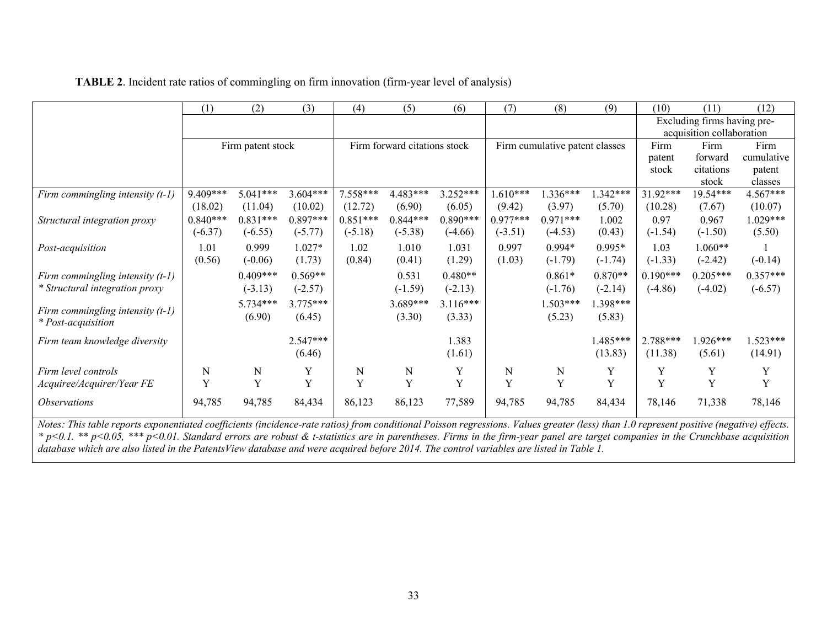|                                    | (1)               | (2)        | (3)                          | (4)        | (5)        | (6)                            | (7)         | (8)         | (9)         | (10)                        | (11)                      | (12)       |
|------------------------------------|-------------------|------------|------------------------------|------------|------------|--------------------------------|-------------|-------------|-------------|-----------------------------|---------------------------|------------|
|                                    |                   |            |                              |            |            |                                |             |             |             | Excluding firms having pre- |                           |            |
|                                    |                   |            |                              |            |            |                                |             |             |             |                             | acquisition collaboration |            |
|                                    | Firm patent stock |            | Firm forward citations stock |            |            | Firm cumulative patent classes |             |             | Firm        | Firm                        | Firm                      |            |
|                                    |                   |            |                              |            |            |                                |             |             |             | patent                      | forward                   | cumulative |
|                                    |                   |            |                              |            |            |                                |             |             |             | stock                       | citations                 | patent     |
|                                    |                   |            |                              |            |            |                                |             |             |             |                             | stock                     | classes    |
| Firm commingling intensity (t-1)   | 9.409***          | $5.041***$ | $3.604***$                   | $7.558***$ | $4.483***$ | $3.252***$                     | $.610***$   | $.336***$   | 1.342***    | 31.92***                    | 19.54***                  | $4.567***$ |
|                                    | (18.02)           | (11.04)    | (10.02)                      | (12.72)    | (6.90)     | (6.05)                         | (9.42)      | (3.97)      | (5.70)      | (10.28)                     | (7.67)                    | (10.07)    |
| Structural integration proxy       | $0.840***$        | $0.831***$ | $0.897***$                   | $0.851***$ | $0.844***$ | $0.890***$                     | $0.977***$  | $0.971***$  | 1.002       | 0.97                        | 0.967                     | 1.029***   |
|                                    | $(-6.37)$         | $(-6.55)$  | $(-5.77)$                    | $(-5.18)$  | $(-5.38)$  | $(-4.66)$                      | $(-3.51)$   | $(-4.53)$   | (0.43)      | $(-1.54)$                   | $(-1.50)$                 | (5.50)     |
| Post-acquisition                   | 1.01              | 0.999      | $1.027*$                     | 1.02       | 1.010      | 1.031                          | 0.997       | $0.994*$    | 0.995*      | 1.03                        | $1.060**$                 |            |
|                                    | (0.56)            | $(-0.06)$  | (1.73)                       | (0.84)     | (0.41)     | (1.29)                         | (1.03)      | $(-1.79)$   | $(-1.74)$   | $(-1.33)$                   | $(-2.42)$                 | $(-0.14)$  |
| Firm commingling intensity $(t-1)$ |                   | $0.409***$ | $0.569**$                    |            | 0.531      | $0.480**$                      |             | $0.861*$    | $0.870**$   | $0.190***$                  | $0.205***$                | $0.357***$ |
| * Structural integration proxy     |                   | $(-3.13)$  | $(-2.57)$                    |            | $(-1.59)$  | $(-2.13)$                      |             | $(-1.76)$   | $(-2.14)$   | $(-4.86)$                   | $(-4.02)$                 | $(-6.57)$  |
|                                    |                   | 5.734***   | $3.775***$                   |            | $3.689***$ | $3.116***$                     |             | $.503***$   | 1.398***    |                             |                           |            |
| Firm commingling intensity $(t-1)$ |                   | (6.90)     | (6.45)                       |            | (3.30)     | (3.33)                         |             | (5.23)      | (5.83)      |                             |                           |            |
| * Post-acquisition                 |                   |            |                              |            |            |                                |             |             |             |                             |                           |            |
| Firm team knowledge diversity      |                   |            | $2.547***$                   |            |            | 1.383                          |             |             | 1.485***    | 2.788***                    | $1.926***$                | $1.523***$ |
|                                    |                   |            | (6.46)                       |            |            | (1.61)                         |             |             | (13.83)     | (11.38)                     | (5.61)                    | (14.91)    |
| Firm level controls                | N                 | N          | Y                            | N          | ${\bf N}$  | Y                              | $\mathbf N$ | $\mathbf N$ | Y           | Y                           | Y                         | Y          |
| Acquiree/Acquirer/Year FE          | Y                 | Y          | Y                            | Y          | Y          | Y                              | Y           | Y           | $\mathbf Y$ | Y                           | Y                         | Y          |
| <i><b>Observations</b></i>         | 94,785            | 94,785     | 84,434                       | 86,123     | 86,123     | 77,589                         | 94,785      | 94,785      | 84,434      | 78,146                      | 71,338                    | 78,146     |

**TABLE 2**. Incident rate ratios of commingling on firm innovation (firm-year level of analysis)

*Notes: This table reports exponentiated coefficients (incidence-rate ratios) from conditional Poisson regressions. Values greater (less) than 1.0 represent positive (negative) effects.*   $p<0.1$ . \*\*  $p<0.05$ , \*\*\*  $p<0.01$ . Standard errors are robust & t-statistics are in parentheses. Firms in the firm-year panel are target companies in the Crunchbase acquisition *database which are also listed in the PatentsView database and were acquired before 2014. The control variables are listed in Table 1.*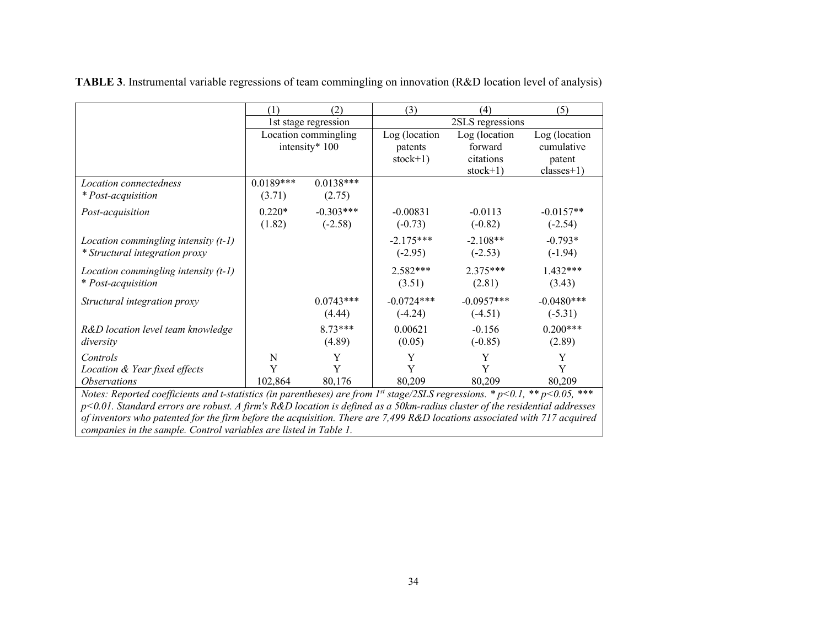|                                                                                                                                       | (1)                  | (2)                  | (3)              | (4)           | (5)           |  |  |  |
|---------------------------------------------------------------------------------------------------------------------------------------|----------------------|----------------------|------------------|---------------|---------------|--|--|--|
|                                                                                                                                       |                      | 1st stage regression | 2SLS regressions |               |               |  |  |  |
|                                                                                                                                       | Location commingling |                      | Log (location    | Log (location | Log (location |  |  |  |
|                                                                                                                                       | intensity* 100       |                      | patents          | forward       | cumulative    |  |  |  |
|                                                                                                                                       |                      |                      | $stock+1)$       | citations     | patent        |  |  |  |
|                                                                                                                                       |                      |                      |                  | $stock+1)$    | $classes+1)$  |  |  |  |
| Location connectedness                                                                                                                | $0.0189***$          | $0.0138***$          |                  |               |               |  |  |  |
| * Post-acquisition                                                                                                                    | (3.71)               | (2.75)               |                  |               |               |  |  |  |
| Post-acquisition                                                                                                                      | $0.220*$             | $-0.303***$          | $-0.00831$       | $-0.0113$     | $-0.0157**$   |  |  |  |
|                                                                                                                                       | (1.82)               | $(-2.58)$            | $(-0.73)$        | $(-0.82)$     | $(-2.54)$     |  |  |  |
| Location commingling intensity $(t-1)$                                                                                                |                      |                      | $-2.175***$      | $-2.108**$    | $-0.793*$     |  |  |  |
| * Structural integration proxy                                                                                                        |                      |                      | $(-2.95)$        | $(-2.53)$     | $(-1.94)$     |  |  |  |
|                                                                                                                                       |                      |                      |                  |               |               |  |  |  |
| Location commingling intensity $(t-1)$                                                                                                |                      |                      | $2.582***$       | $2.375***$    | $1.432***$    |  |  |  |
| * Post-acquisition                                                                                                                    |                      |                      | (3.51)           | (2.81)        | (3.43)        |  |  |  |
| Structural integration proxy                                                                                                          |                      | $0.0743***$          | $-0.0724***$     | $-0.0957***$  | $-0.0480***$  |  |  |  |
|                                                                                                                                       |                      | (4.44)               | $(-4.24)$        | $(-4.51)$     | $(-5.31)$     |  |  |  |
| R&D location level team knowledge                                                                                                     |                      | $8.73***$            | 0.00621          | $-0.156$      | $0.200***$    |  |  |  |
| diversity                                                                                                                             |                      | (4.89)               | (0.05)           | $(-0.85)$     | (2.89)        |  |  |  |
| Controls                                                                                                                              | N                    | Y                    | Y                | Y             | Y             |  |  |  |
| Location & Year fixed effects                                                                                                         | Y                    | Y                    | Y                | Y             | Y             |  |  |  |
| <i><b>Observations</b></i>                                                                                                            | 102,864              | 80,176               | 80,209           | 80,209        | 80,209        |  |  |  |
| Notes: Reported coefficients and t-statistics (in parentheses) are from 1st stage/2SLS regressions. * $p < 0.1$ , ** $p < 0.05$ , *** |                      |                      |                  |               |               |  |  |  |
| $p<0.01$ . Standard errors are robust. A firm's R&D location is defined as a 50km-radius cluster of the residential addresses         |                      |                      |                  |               |               |  |  |  |
| of inventors who patented for the firm before the acquisition. There are 7,499 R&D locations associated with 717 acquired             |                      |                      |                  |               |               |  |  |  |
| companies in the sample. Control variables are listed in Table 1.                                                                     |                      |                      |                  |               |               |  |  |  |

**TABLE 3**. Instrumental variable regressions of team commingling on innovation (R&D location level of analysis)